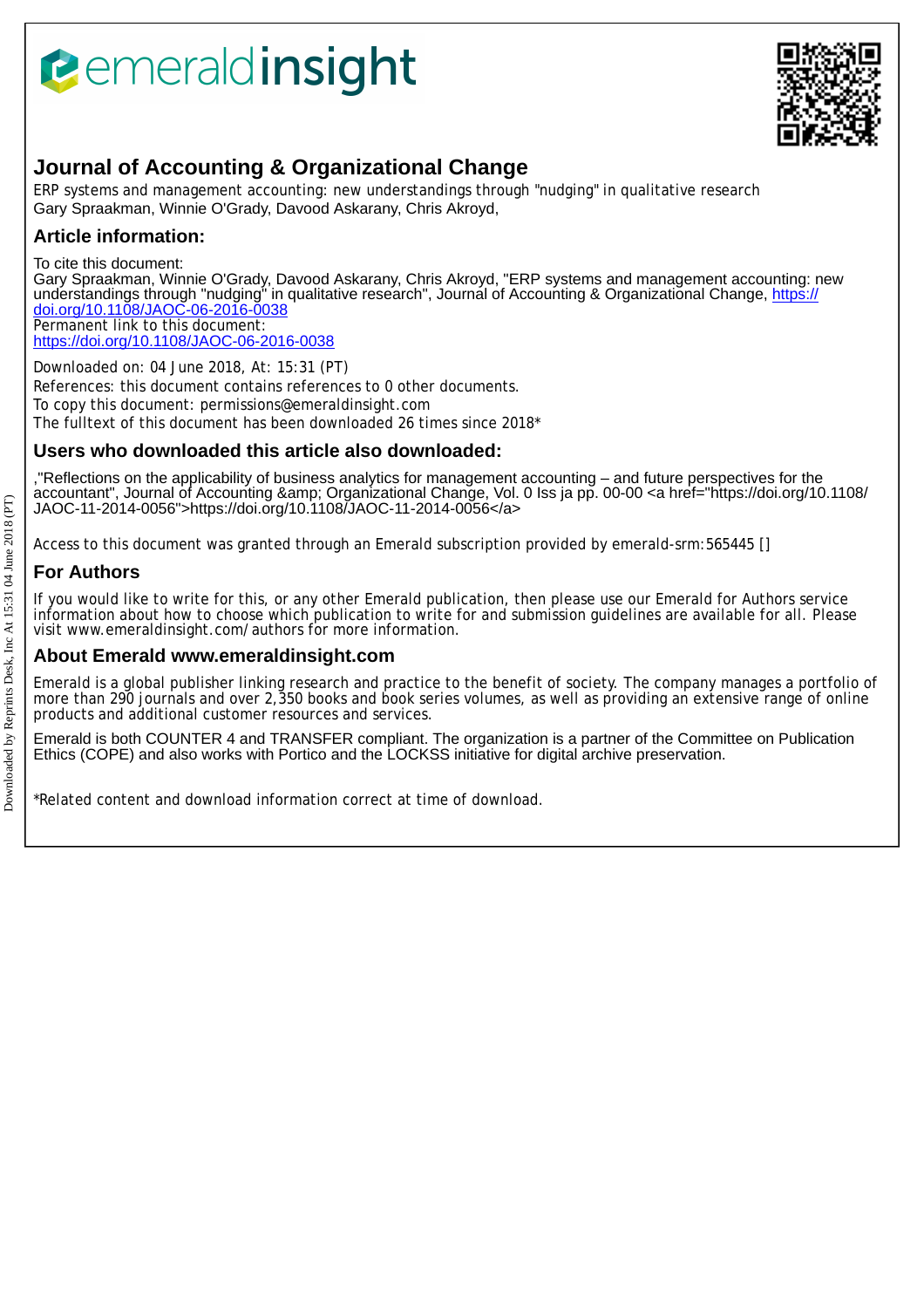# *<u><b>eemeraldinsight</u>*



## **Journal of Accounting & Organizational Change**

ERP systems and management accounting: new understandings through "nudging" in qualitative research Gary Spraakman, Winnie O'Grady, Davood Askarany, Chris Akroyd,

## **Article information:**

To cite this document:

Gary Spraakman, Winnie O'Grady, Davood Askarany, Chris Akroyd, "ERP systems and management accounting: new understandings through "nudging" in qualitative research", Journal of Accounting & Organizational Change, <u>https://</u> [doi.org/10.1108/JAOC-06-2016-0038](https://doi.org/10.1108/JAOC-06-2016-0038) Permanent link to this document:

<https://doi.org/10.1108/JAOC-06-2016-0038>

Downloaded on: 04 June 2018, At: 15:31 (PT) References: this document contains references to 0 other documents. To copy this document: permissions@emeraldinsight.com The fulltext of this document has been downloaded 26 times since 2018\*

## **Users who downloaded this article also downloaded:**

,"Reflections on the applicability of business analytics for management accounting – and future perspectives for the accountant", Journal of Accounting & Organizational Change, Vol. 0 Iss ja pp. 00-00 <a href="https://doi.org/10.1108/ JAOC-11-2014-0056">https://doi.org/10.1108/JAOC-11-2014-0056</a>

Access to this document was granted through an Emerald subscription provided by emerald-srm:565445 []

## **For Authors**

If you would like to write for this, or any other Emerald publication, then please use our Emerald for Authors service information about how to choose which publication to write for and submission guidelines are available for all. Please visit www.emeraldinsight.com/authors for more information.

### **About Emerald www.emeraldinsight.com**

Emerald is a global publisher linking research and practice to the benefit of society. The company manages a portfolio of more than 290 journals and over 2,350 books and book series volumes, as well as providing an extensive range of online products and additional customer resources and services.

Emerald is both COUNTER 4 and TRANSFER compliant. The organization is a partner of the Committee on Publication Ethics (COPE) and also works with Portico and the LOCKSS initiative for digital archive preservation.

\*Related content and download information correct at time of download.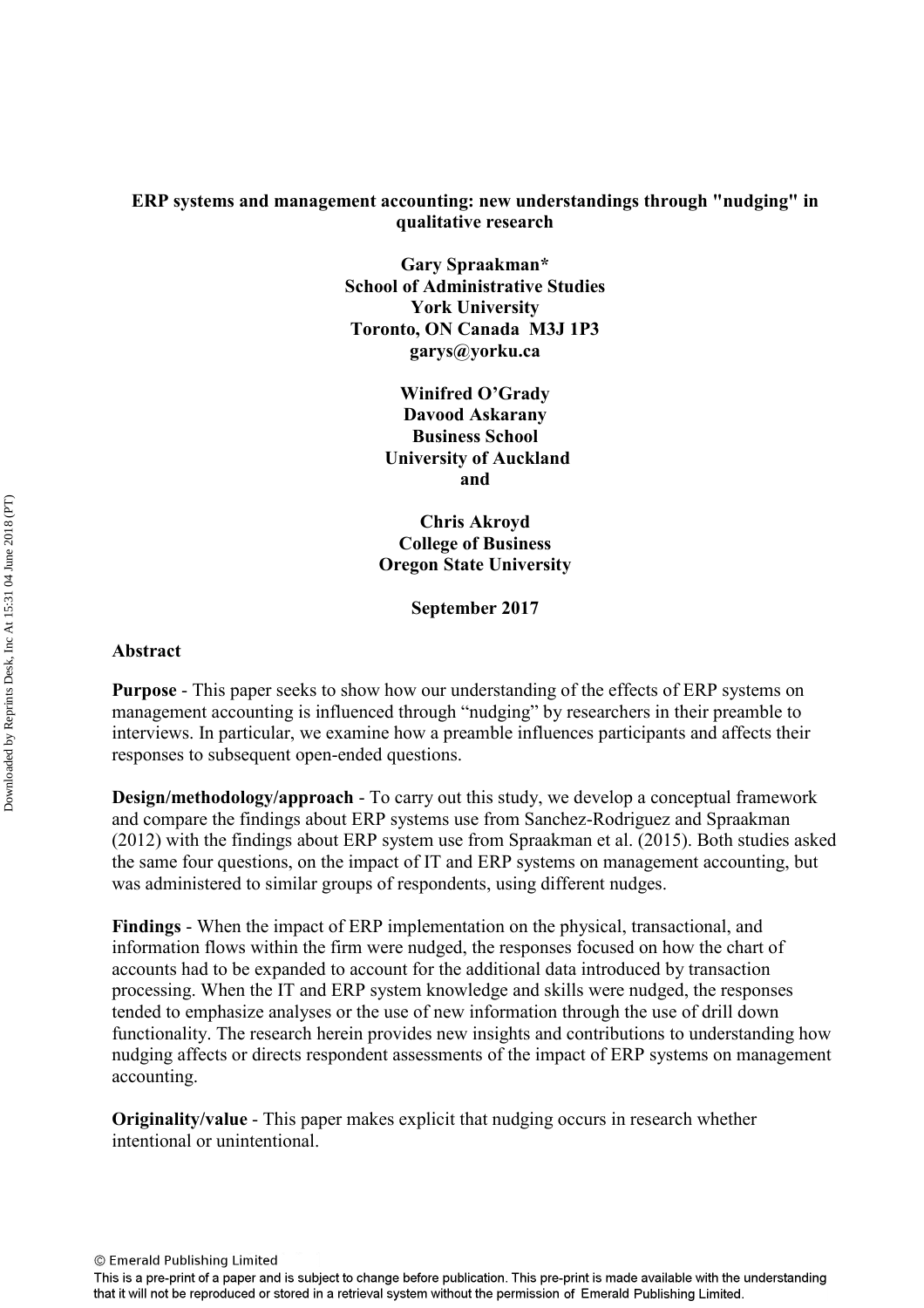#### **ERP systems and management accounting: new understandings through "nudging" in qualitative research**

**Gary Spraakman\* School of Administrative Studies York University Toronto, ON Canada M3J 1P3 garys@yorku.ca** 

> **Winifred O'Grady Davood Askarany Business School University of Auckland and**

**Chris Akroyd College of Business Oregon State University** 

**September 2017** 

#### **Abstract**

**Purpose** - This paper seeks to show how our understanding of the effects of ERP systems on management accounting is influenced through "nudging" by researchers in their preamble to interviews. In particular, we examine how a preamble influences participants and affects their responses to subsequent open-ended questions.

**Design/methodology/approach** - To carry out this study, we develop a conceptual framework and compare the findings about ERP systems use from Sanchez-Rodriguez and Spraakman (2012) with the findings about ERP system use from Spraakman et al. (2015). Both studies asked the same four questions, on the impact of IT and ERP systems on management accounting, but was administered to similar groups of respondents, using different nudges.

**Findings** - When the impact of ERP implementation on the physical, transactional, and information flows within the firm were nudged, the responses focused on how the chart of accounts had to be expanded to account for the additional data introduced by transaction processing. When the IT and ERP system knowledge and skills were nudged, the responses tended to emphasize analyses or the use of new information through the use of drill down functionality. The research herein provides new insights and contributions to understanding how nudging affects or directs respondent assessments of the impact of ERP systems on management accounting.

**Originality/value** - This paper makes explicit that nudging occurs in research whether intentional or unintentional.

This is a pre-print of a paper and is subject to change before publication. This pre-print is made available with the understanding that it will not be reproduced or stored in a retrieval system without the permission of Emerald Publishing Limited.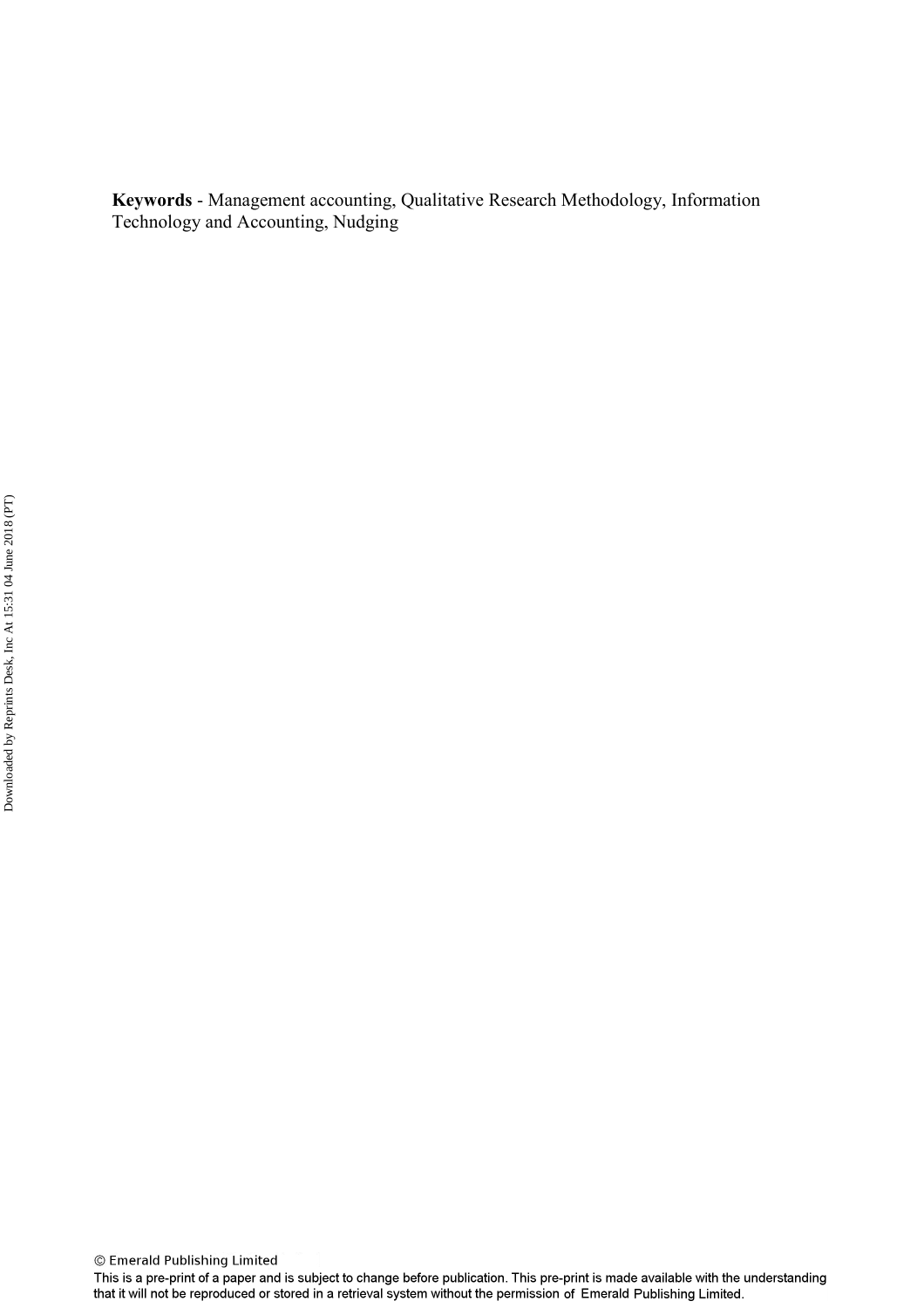**Keywords** - Management accounting, Qualitative Research Methodology, Information Technology and Accounting, Nudging

This is a pre-print of a paper and is subject to change before publication. This pre-print is made available with the understanding that it will not be reproduced or stored in a retrieval system without the permission of Emerald Publishing Limited.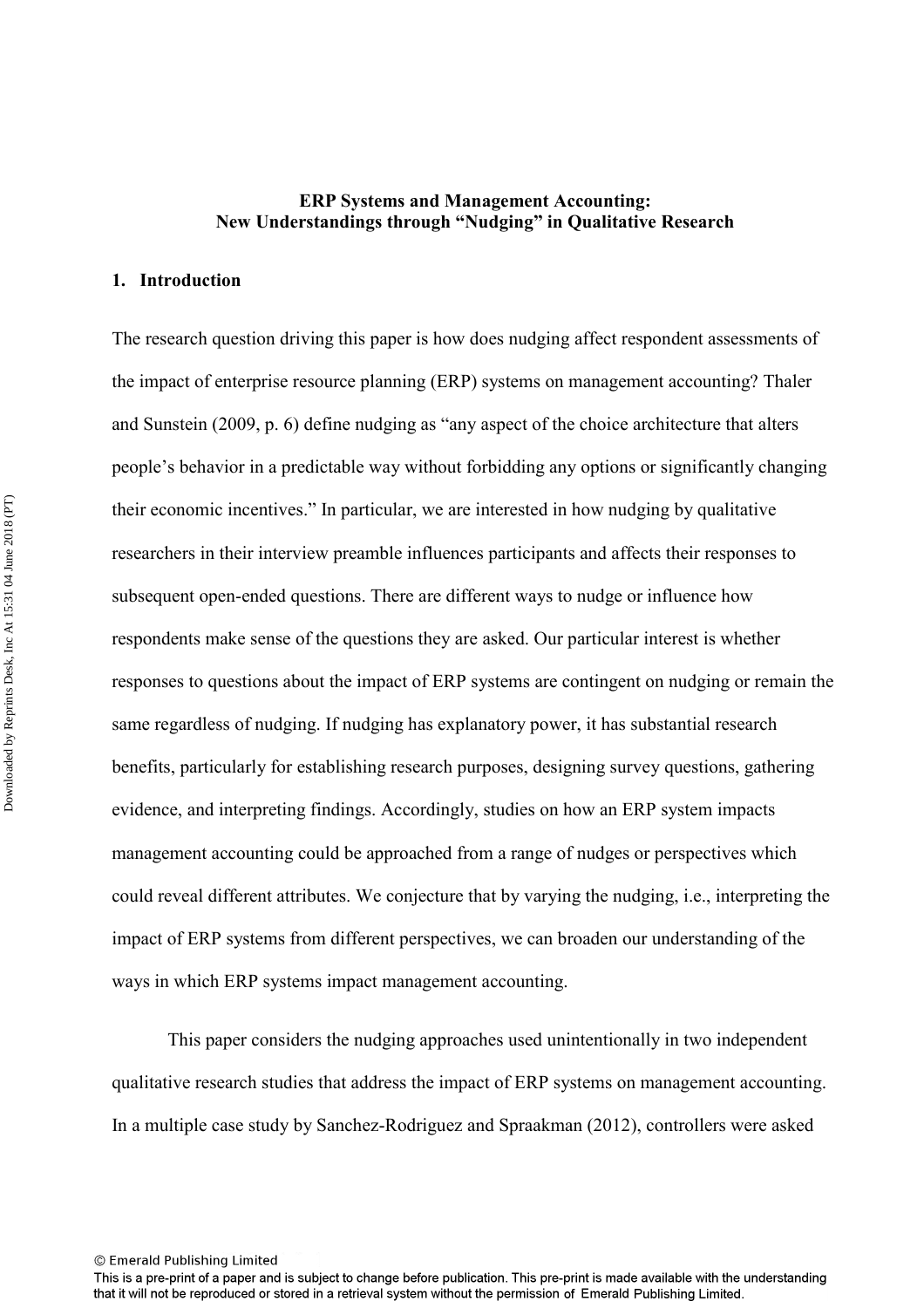#### **ERP Systems and Management Accounting: New Understandings through "Nudging" in Qualitative Research**

#### **1. Introduction**

The research question driving this paper is how does nudging affect respondent assessments of the impact of enterprise resource planning (ERP) systems on management accounting? Thaler and Sunstein (2009, p. 6) define nudging as "any aspect of the choice architecture that alters people's behavior in a predictable way without forbidding any options or significantly changing their economic incentives." In particular, we are interested in how nudging by qualitative researchers in their interview preamble influences participants and affects their responses to subsequent open-ended questions. There are different ways to nudge or influence how respondents make sense of the questions they are asked. Our particular interest is whether responses to questions about the impact of ERP systems are contingent on nudging or remain the same regardless of nudging. If nudging has explanatory power, it has substantial research benefits, particularly for establishing research purposes, designing survey questions, gathering evidence, and interpreting findings. Accordingly, studies on how an ERP system impacts management accounting could be approached from a range of nudges or perspectives which could reveal different attributes. We conjecture that by varying the nudging, i.e., interpreting the impact of ERP systems from different perspectives, we can broaden our understanding of the ways in which ERP systems impact management accounting.

This paper considers the nudging approaches used unintentionally in two independent qualitative research studies that address the impact of ERP systems on management accounting. In a multiple case study by Sanchez-Rodriguez and Spraakman (2012), controllers were asked

This is a pre-print of a paper and is subject to change before publication. This pre-print is made available with the understanding that it will not be reproduced or stored in a retrieval system without the permission of Emerald Publishing Limited.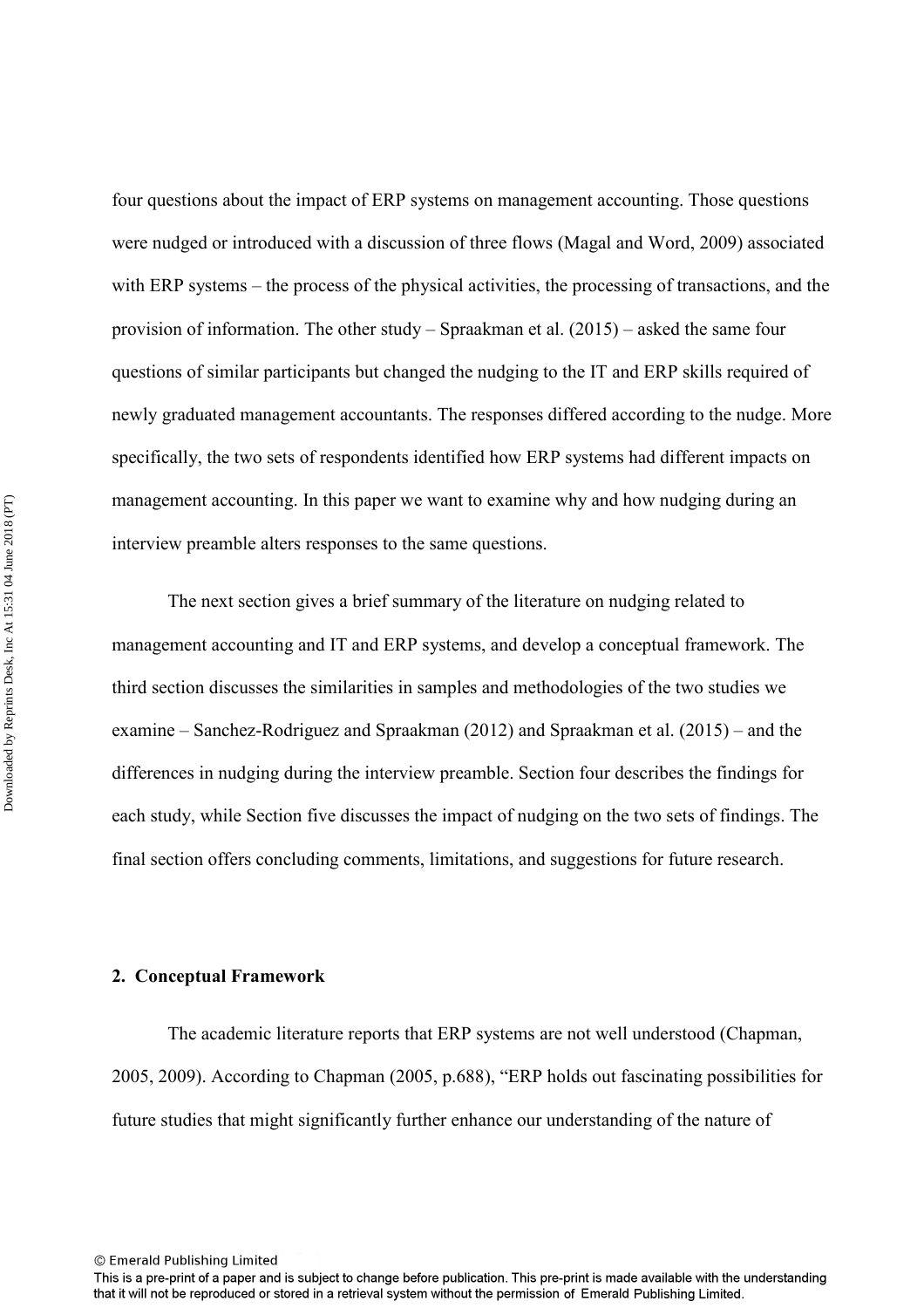four questions about the impact of ERP systems on management accounting. Those questions were nudged or introduced with a discussion of three flows (Magal and Word, 2009) associated with ERP systems – the process of the physical activities, the processing of transactions, and the provision of information. The other study – Spraakman et al. (2015) – asked the same four questions of similar participants but changed the nudging to the IT and ERP skills required of newly graduated management accountants. The responses differed according to the nudge. More specifically, the two sets of respondents identified how ERP systems had different impacts on management accounting. In this paper we want to examine why and how nudging during an interview preamble alters responses to the same questions.

The next section gives a brief summary of the literature on nudging related to management accounting and IT and ERP systems, and develop a conceptual framework. The third section discusses the similarities in samples and methodologies of the two studies we examine – Sanchez-Rodriguez and Spraakman (2012) and Spraakman et al. (2015) – and the differences in nudging during the interview preamble. Section four describes the findings for each study, while Section five discusses the impact of nudging on the two sets of findings. The final section offers concluding comments, limitations, and suggestions for future research.

#### **2. Conceptual Framework**

The academic literature reports that ERP systems are not well understood (Chapman, 2005, 2009). According to Chapman (2005, p.688), "ERP holds out fascinating possibilities for future studies that might significantly further enhance our understanding of the nature of

This is a pre-print of a paper and is subject to change before publication. This pre-print is made available with the understanding that it will not be reproduced or stored in a retrieval system without the permission of Emerald Publishing Limited.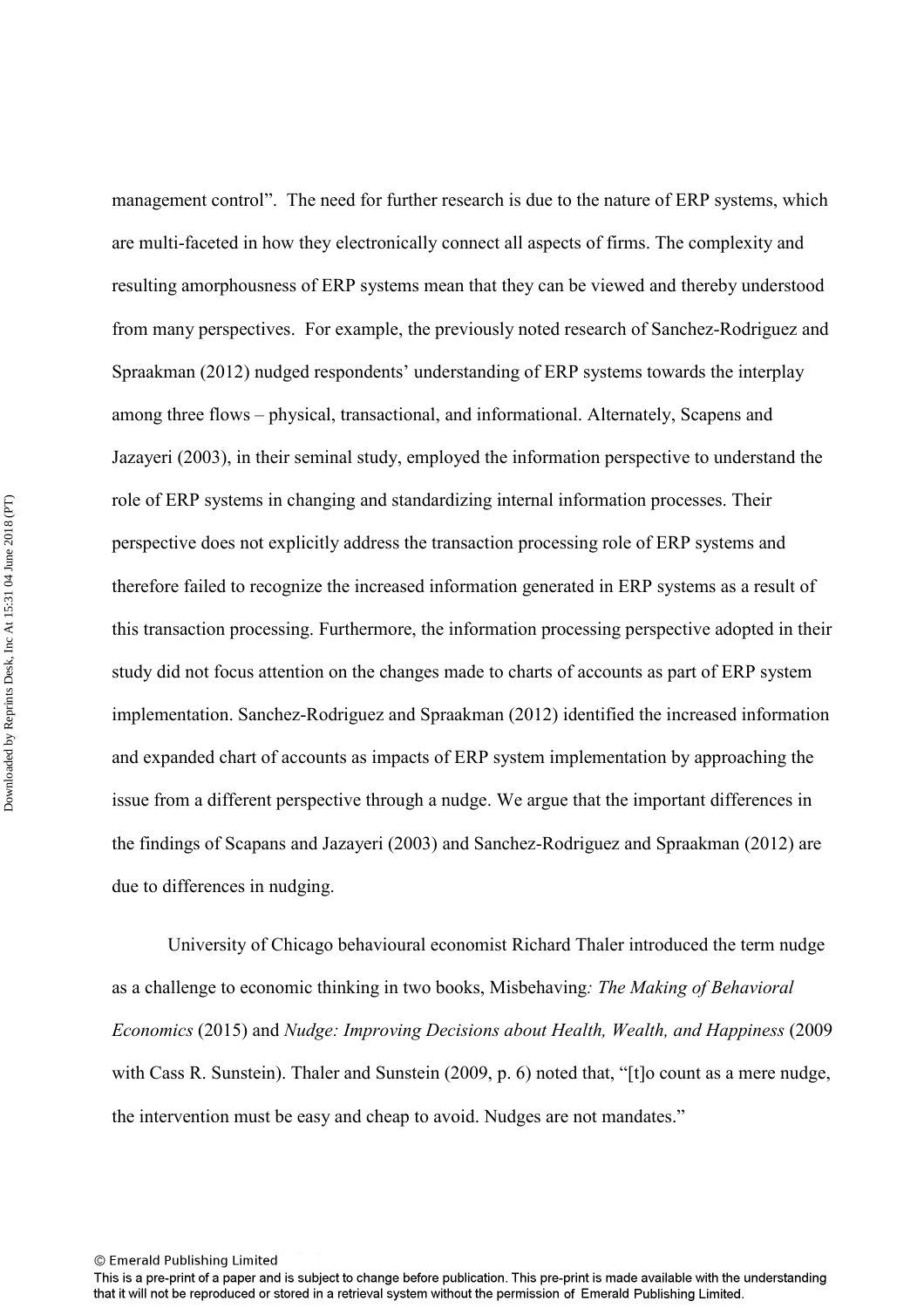management control". The need for further research is due to the nature of ERP systems, which are multi-faceted in how they electronically connect all aspects of firms. The complexity and resulting amorphousness of ERP systems mean that they can be viewed and thereby understood from many perspectives. For example, the previously noted research of Sanchez-Rodriguez and Spraakman (2012) nudged respondents' understanding of ERP systems towards the interplay among three flows – physical, transactional, and informational. Alternately, Scapens and Jazayeri (2003), in their seminal study, employed the information perspective to understand the role of ERP systems in changing and standardizing internal information processes. Their perspective does not explicitly address the transaction processing role of ERP systems and therefore failed to recognize the increased information generated in ERP systems as a result of this transaction processing. Furthermore, the information processing perspective adopted in their study did not focus attention on the changes made to charts of accounts as part of ERP system implementation. Sanchez-Rodriguez and Spraakman (2012) identified the increased information and expanded chart of accounts as impacts of ERP system implementation by approaching the issue from a different perspective through a nudge. We argue that the important differences in the findings of Scapans and Jazayeri (2003) and Sanchez-Rodriguez and Spraakman (2012) are due to differences in nudging.

University of Chicago behavioural economist Richard Thaler introduced the term nudge as a challenge to economic thinking in two books, Misbehaving*: The Making of Behavioral Economics* (2015) and *Nudge: Improving Decisions about Health, Wealth, and Happiness* (2009 with Cass R. Sunstein). Thaler and Sunstein (2009, p. 6) noted that, "[t]o count as a mere nudge, the intervention must be easy and cheap to avoid. Nudges are not mandates."

This is a pre-print of a paper and is subject to change before publication. This pre-print is made available with the understanding that it will not be reproduced or stored in a retrieval system without the permission of Emerald Publishing Limited.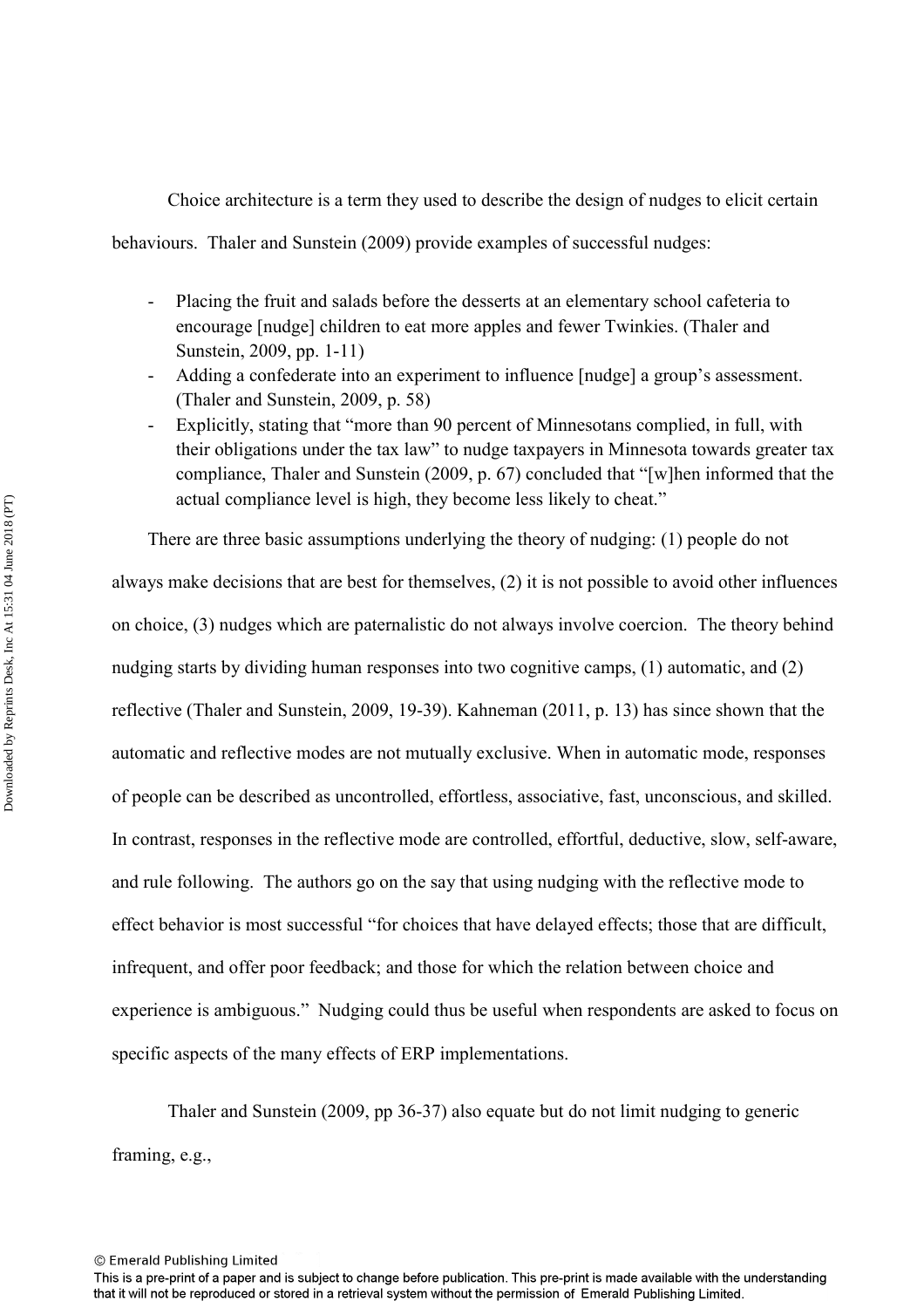Choice architecture is a term they used to describe the design of nudges to elicit certain

behaviours. Thaler and Sunstein (2009) provide examples of successful nudges:

- Placing the fruit and salads before the desserts at an elementary school cafeteria to encourage [nudge] children to eat more apples and fewer Twinkies. (Thaler and Sunstein, 2009, pp. 1-11)
- Adding a confederate into an experiment to influence [nudge] a group's assessment. (Thaler and Sunstein, 2009, p. 58)
- Explicitly, stating that "more than 90 percent of Minnesotans complied, in full, with their obligations under the tax law" to nudge taxpayers in Minnesota towards greater tax compliance, Thaler and Sunstein (2009, p. 67) concluded that "[w]hen informed that the actual compliance level is high, they become less likely to cheat."

There are three basic assumptions underlying the theory of nudging: (1) people do not always make decisions that are best for themselves, (2) it is not possible to avoid other influences on choice, (3) nudges which are paternalistic do not always involve coercion. The theory behind nudging starts by dividing human responses into two cognitive camps, (1) automatic, and (2) reflective (Thaler and Sunstein, 2009, 19-39). Kahneman (2011, p. 13) has since shown that the automatic and reflective modes are not mutually exclusive. When in automatic mode, responses of people can be described as uncontrolled, effortless, associative, fast, unconscious, and skilled. In contrast, responses in the reflective mode are controlled, effortful, deductive, slow, self-aware, and rule following. The authors go on the say that using nudging with the reflective mode to effect behavior is most successful "for choices that have delayed effects; those that are difficult, infrequent, and offer poor feedback; and those for which the relation between choice and experience is ambiguous." Nudging could thus be useful when respondents are asked to focus on specific aspects of the many effects of ERP implementations.

 Thaler and Sunstein (2009, pp 36-37) also equate but do not limit nudging to generic framing, e.g.,

This is a pre-print of a paper and is subject to change before publication. This pre-print is made available with the understanding that it will not be reproduced or stored in a retrieval system without the permission of Emerald Publishing Limited.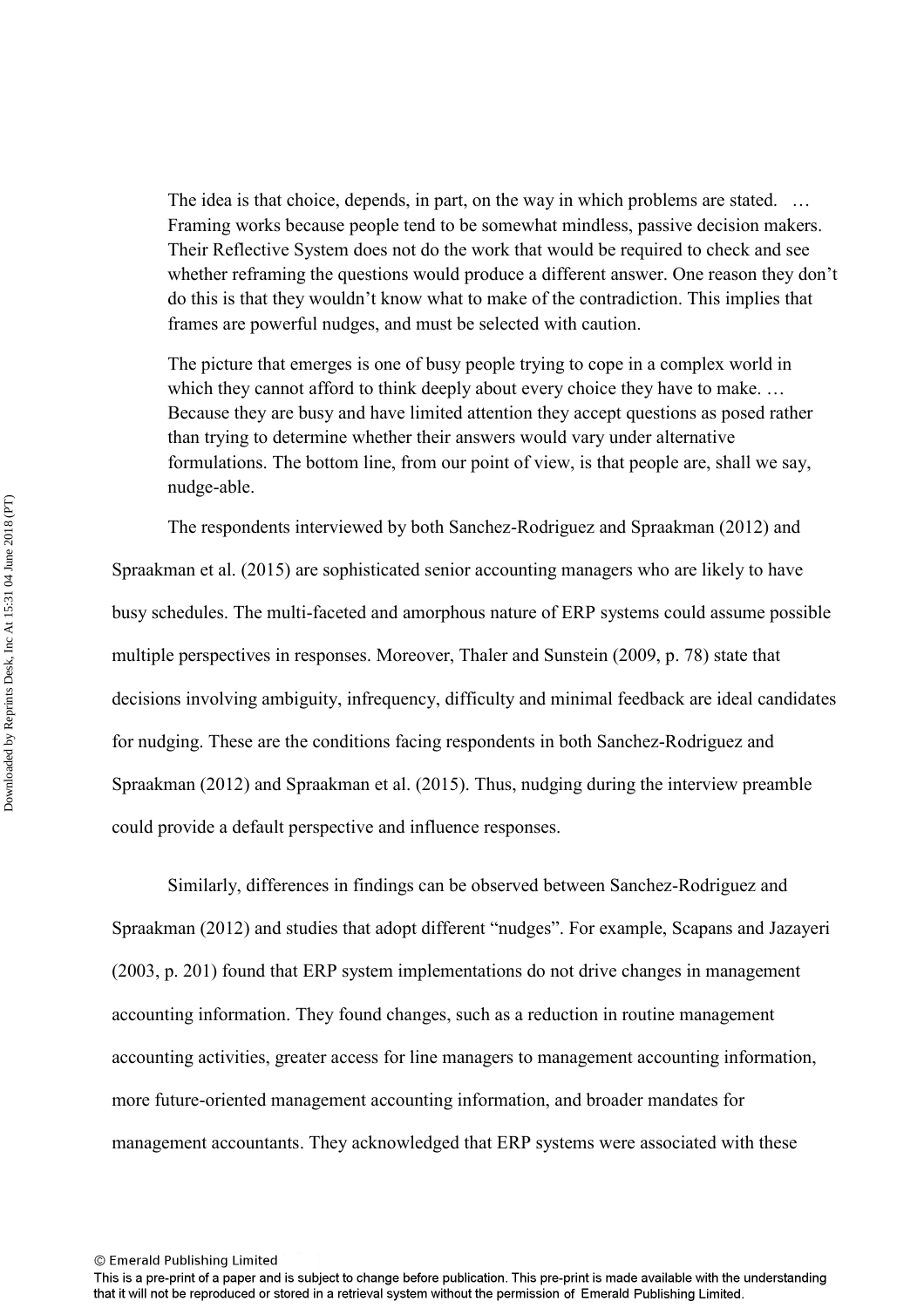The idea is that choice, depends, in part, on the way in which problems are stated. ... Framing works because people tend to be somewhat mindless, passive decision makers. Their Reflective System does not do the work that would be required to check and see whether reframing the questions would produce a different answer. One reason they don't do this is that they wouldn't know what to make of the contradiction. This implies that frames are powerful nudges, and must be selected with caution.

The picture that emerges is one of busy people trying to cope in a complex world in which they cannot afford to think deeply about every choice they have to make. ... Because they are busy and have limited attention they accept questions as posed rather than trying to determine whether their answers would vary under alternative formulations. The bottom line, from our point of view, is that people are, shall we say, nudge-able.

 The respondents interviewed by both Sanchez-Rodriguez and Spraakman (2012) and Spraakman et al. (2015) are sophisticated senior accounting managers who are likely to have busy schedules. The multi-faceted and amorphous nature of ERP systems could assume possible multiple perspectives in responses. Moreover, Thaler and Sunstein (2009, p. 78) state that decisions involving ambiguity, infrequency, difficulty and minimal feedback are ideal candidates for nudging. These are the conditions facing respondents in both Sanchez-Rodriguez and Spraakman (2012) and Spraakman et al. (2015). Thus, nudging during the interview preamble could provide a default perspective and influence responses.

Similarly, differences in findings can be observed between Sanchez-Rodriguez and Spraakman (2012) and studies that adopt different "nudges". For example, Scapans and Jazayeri (2003, p. 201) found that ERP system implementations do not drive changes in management accounting information. They found changes, such as a reduction in routine management accounting activities, greater access for line managers to management accounting information, more future-oriented management accounting information, and broader mandates for management accountants. They acknowledged that ERP systems were associated with these

<sup>©</sup> Emerald Publishing Limited

This is a pre-print of a paper and is subject to change before publication. This pre-print is made available with the understanding that it will not be reproduced or stored in a retrieval system without the permission of Emerald Publishing Limited.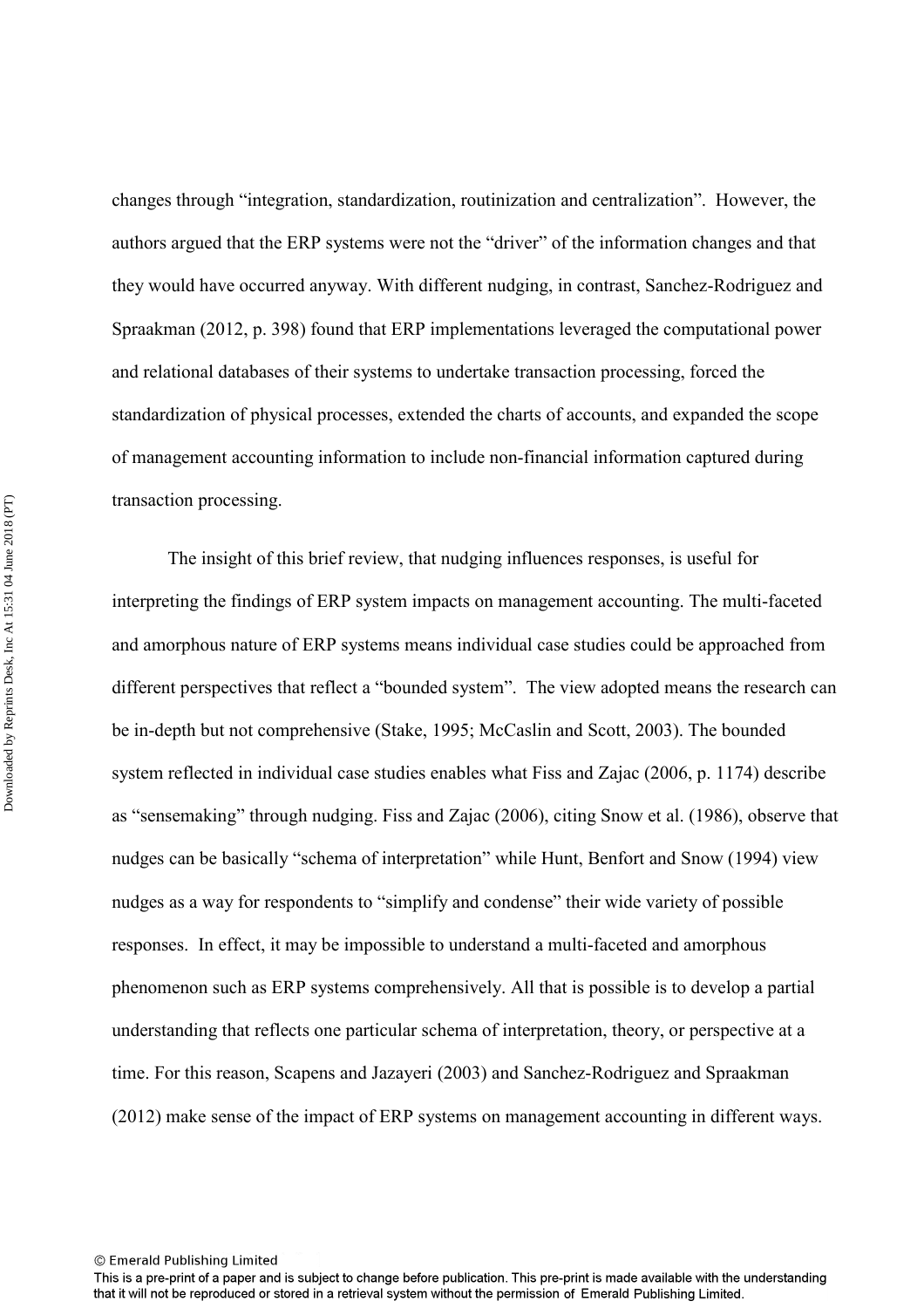changes through "integration, standardization, routinization and centralization". However, the authors argued that the ERP systems were not the "driver" of the information changes and that they would have occurred anyway. With different nudging, in contrast, Sanchez-Rodriguez and Spraakman (2012, p. 398) found that ERP implementations leveraged the computational power and relational databases of their systems to undertake transaction processing, forced the standardization of physical processes, extended the charts of accounts, and expanded the scope of management accounting information to include non-financial information captured during transaction processing.

The insight of this brief review, that nudging influences responses, is useful for interpreting the findings of ERP system impacts on management accounting. The multi-faceted and amorphous nature of ERP systems means individual case studies could be approached from different perspectives that reflect a "bounded system". The view adopted means the research can be in-depth but not comprehensive (Stake, 1995; McCaslin and Scott, 2003). The bounded system reflected in individual case studies enables what Fiss and Zajac (2006, p. 1174) describe as "sensemaking" through nudging. Fiss and Zajac (2006), citing Snow et al. (1986), observe that nudges can be basically "schema of interpretation" while Hunt, Benfort and Snow (1994) view nudges as a way for respondents to "simplify and condense" their wide variety of possible responses. In effect, it may be impossible to understand a multi-faceted and amorphous phenomenon such as ERP systems comprehensively. All that is possible is to develop a partial understanding that reflects one particular schema of interpretation, theory, or perspective at a time. For this reason, Scapens and Jazayeri (2003) and Sanchez-Rodriguez and Spraakman (2012) make sense of the impact of ERP systems on management accounting in different ways.

<sup>©</sup> Emerald Publishing Limited

This is a pre-print of a paper and is subject to change before publication. This pre-print is made available with the understanding that it will not be reproduced or stored in a retrieval system without the permission of Emerald Publishing Limited.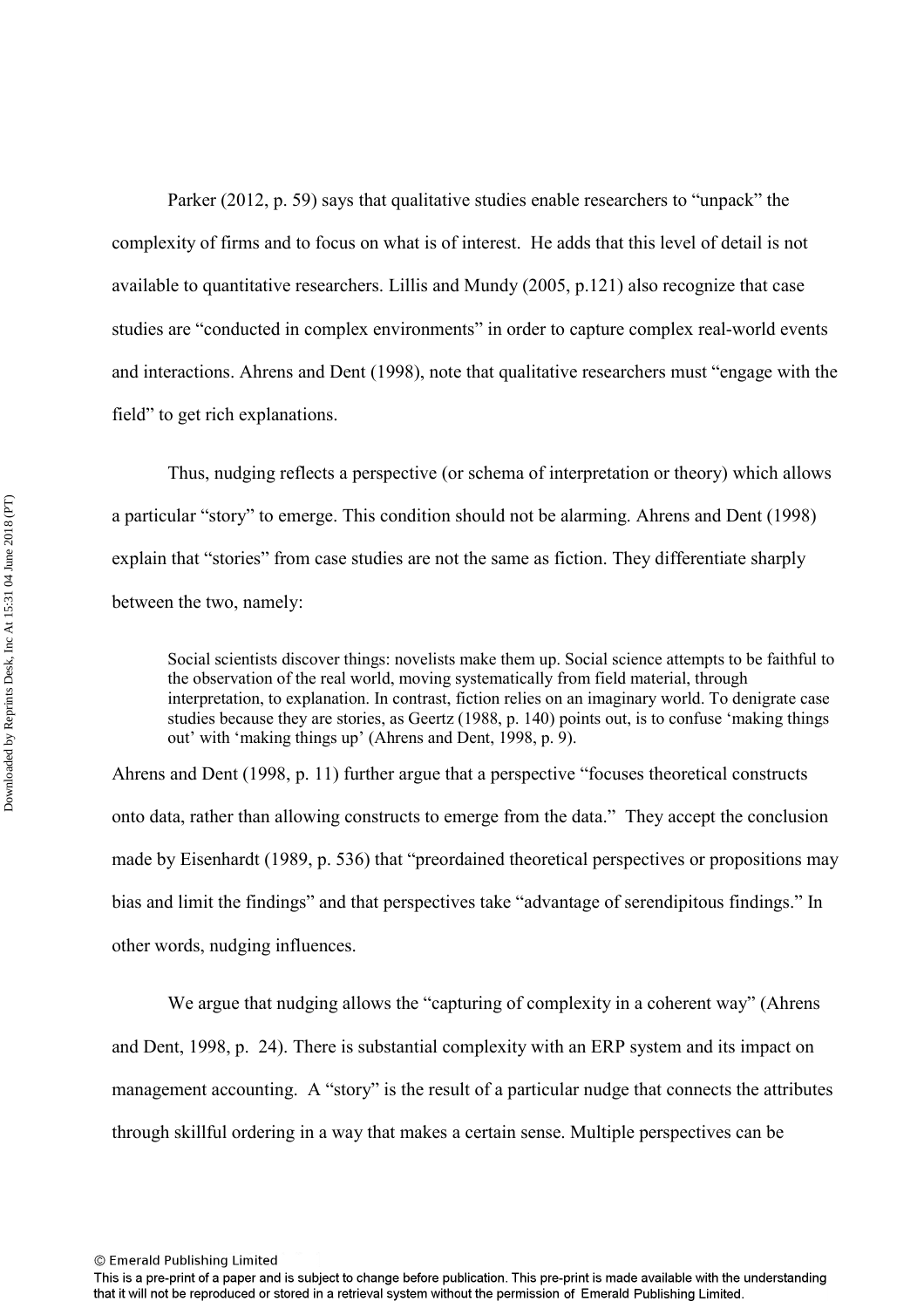Parker (2012, p. 59) says that qualitative studies enable researchers to "unpack" the complexity of firms and to focus on what is of interest. He adds that this level of detail is not available to quantitative researchers. Lillis and Mundy (2005, p.121) also recognize that case studies are "conducted in complex environments" in order to capture complex real-world events and interactions. Ahrens and Dent (1998), note that qualitative researchers must "engage with the field" to get rich explanations.

 Thus, nudging reflects a perspective (or schema of interpretation or theory) which allows a particular "story" to emerge. This condition should not be alarming. Ahrens and Dent (1998) explain that "stories" from case studies are not the same as fiction. They differentiate sharply between the two, namely:

Social scientists discover things: novelists make them up. Social science attempts to be faithful to the observation of the real world, moving systematically from field material, through interpretation, to explanation. In contrast, fiction relies on an imaginary world. To denigrate case studies because they are stories, as Geertz (1988, p. 140) points out, is to confuse 'making things out' with 'making things up' (Ahrens and Dent, 1998, p. 9).

Ahrens and Dent (1998, p. 11) further argue that a perspective "focuses theoretical constructs onto data, rather than allowing constructs to emerge from the data." They accept the conclusion made by Eisenhardt (1989, p. 536) that "preordained theoretical perspectives or propositions may bias and limit the findings" and that perspectives take "advantage of serendipitous findings." In other words, nudging influences.

We argue that nudging allows the "capturing of complexity in a coherent way" (Ahrens and Dent, 1998, p. 24). There is substantial complexity with an ERP system and its impact on management accounting. A "story" is the result of a particular nudge that connects the attributes through skillful ordering in a way that makes a certain sense. Multiple perspectives can be

This is a pre-print of a paper and is subject to change before publication. This pre-print is made available with the understanding that it will not be reproduced or stored in a retrieval system without the permission of Emerald Publishing Limited.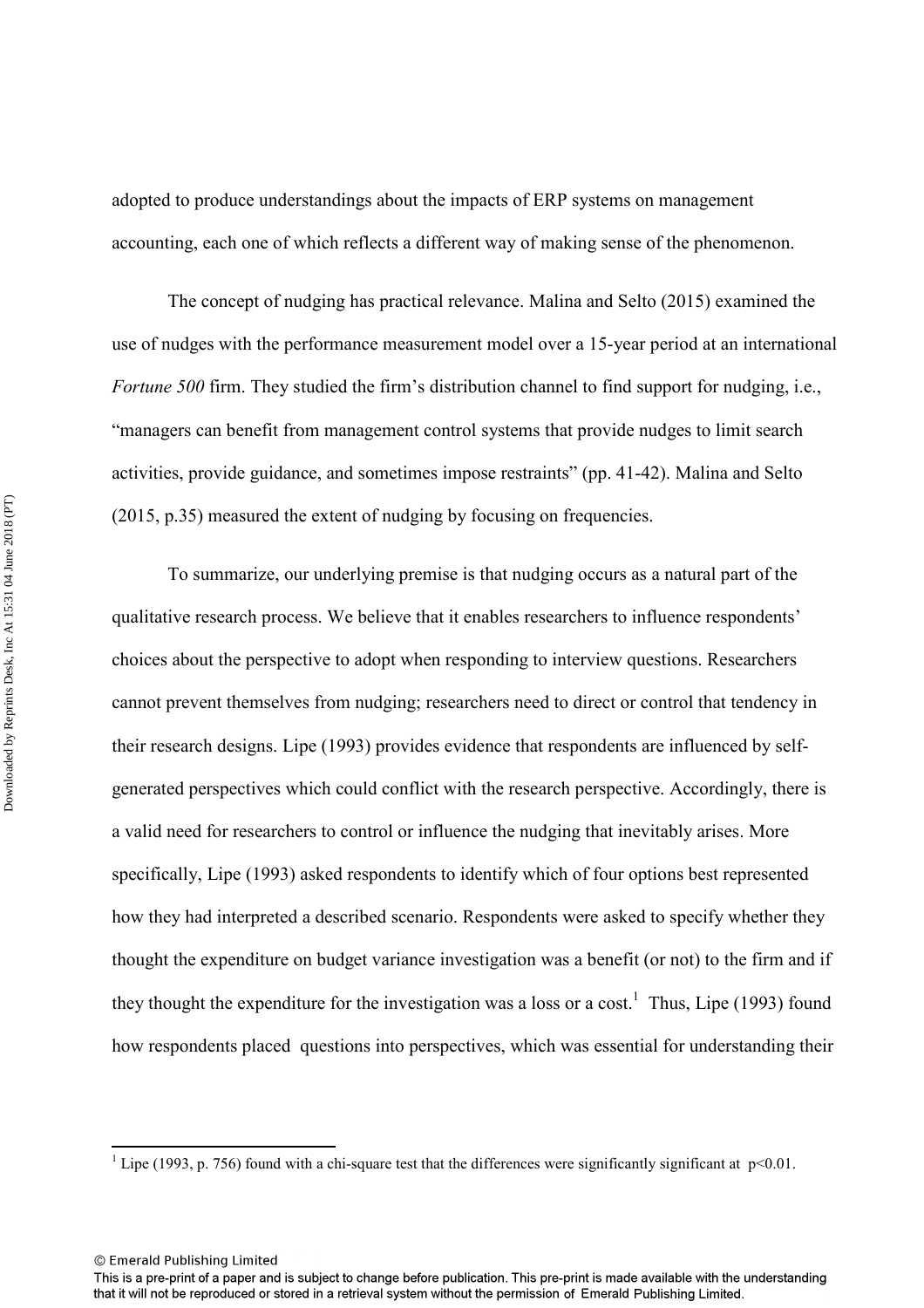adopted to produce understandings about the impacts of ERP systems on management accounting, each one of which reflects a different way of making sense of the phenomenon.

The concept of nudging has practical relevance. Malina and Selto (2015) examined the use of nudges with the performance measurement model over a 15-year period at an international *Fortune 500* firm. They studied the firm's distribution channel to find support for nudging, i.e., "managers can benefit from management control systems that provide nudges to limit search activities, provide guidance, and sometimes impose restraints" (pp. 41-42). Malina and Selto (2015, p.35) measured the extent of nudging by focusing on frequencies.

To summarize, our underlying premise is that nudging occurs as a natural part of the qualitative research process. We believe that it enables researchers to influence respondents' choices about the perspective to adopt when responding to interview questions. Researchers cannot prevent themselves from nudging; researchers need to direct or control that tendency in their research designs. Lipe (1993) provides evidence that respondents are influenced by selfgenerated perspectives which could conflict with the research perspective. Accordingly, there is a valid need for researchers to control or influence the nudging that inevitably arises. More specifically, Lipe (1993) asked respondents to identify which of four options best represented how they had interpreted a described scenario. Respondents were asked to specify whether they thought the expenditure on budget variance investigation was a benefit (or not) to the firm and if they thought the expenditure for the investigation was a loss or a cost.<sup>1</sup> Thus, Lipe (1993) found how respondents placed questions into perspectives, which was essential for understanding their

<sup>&</sup>lt;sup>1</sup> Lipe (1993, p. 756) found with a chi-square test that the differences were significantly significant at  $p<0.01$ .

<sup>©</sup> Emerald Publishing Limited

This is a pre-print of a paper and is subject to change before publication. This pre-print is made available with the understanding that it will not be reproduced or stored in a retrieval system without the permission of Emerald Publishing Limited.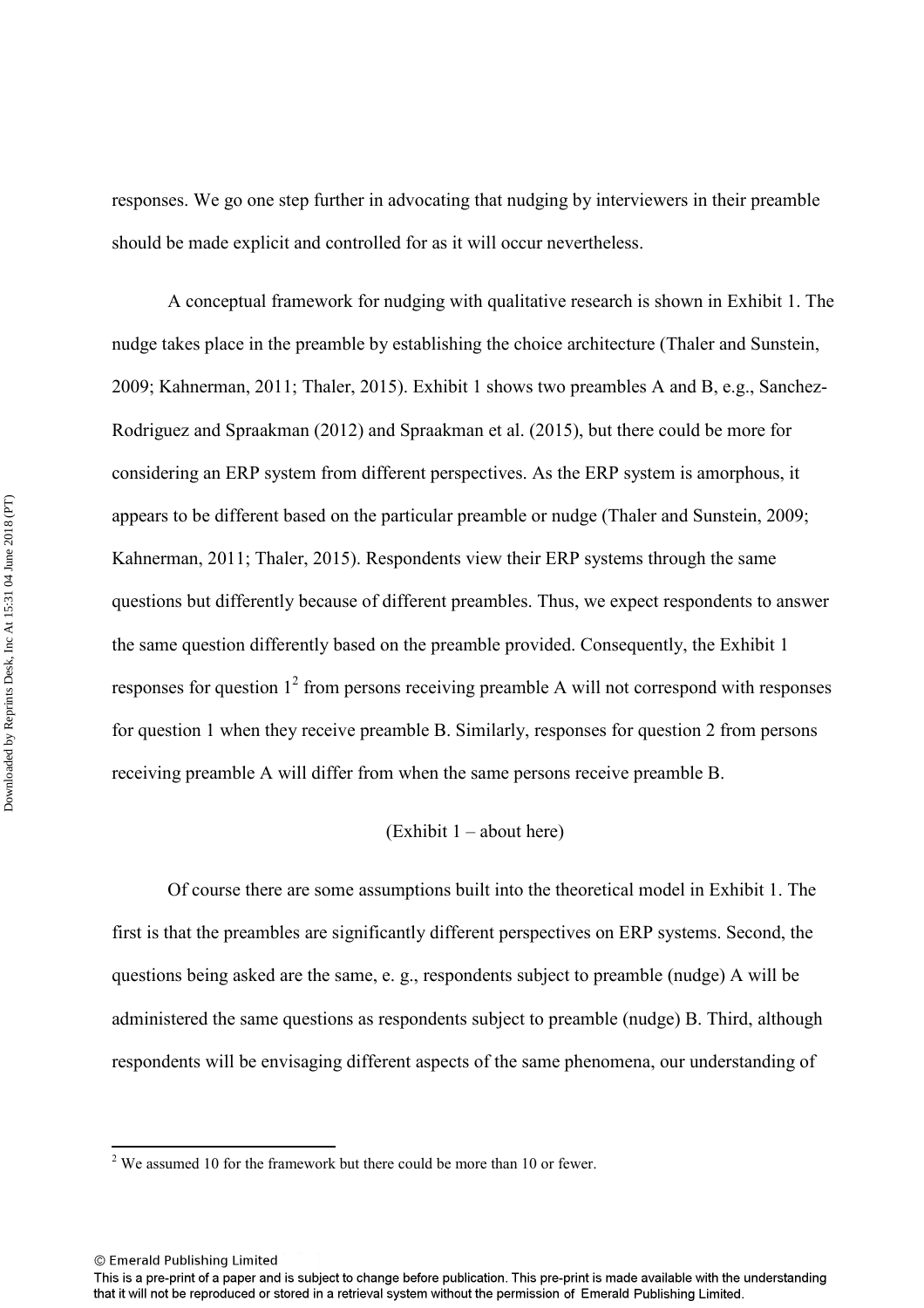responses. We go one step further in advocating that nudging by interviewers in their preamble should be made explicit and controlled for as it will occur nevertheless.

A conceptual framework for nudging with qualitative research is shown in Exhibit 1. The nudge takes place in the preamble by establishing the choice architecture (Thaler and Sunstein, 2009; Kahnerman, 2011; Thaler, 2015). Exhibit 1 shows two preambles A and B, e.g., Sanchez-Rodriguez and Spraakman (2012) and Spraakman et al. (2015), but there could be more for considering an ERP system from different perspectives. As the ERP system is amorphous, it appears to be different based on the particular preamble or nudge (Thaler and Sunstein, 2009; Kahnerman, 2011; Thaler, 2015). Respondents view their ERP systems through the same questions but differently because of different preambles. Thus, we expect respondents to answer the same question differently based on the preamble provided. Consequently, the Exhibit 1 responses for question  $1^2$  from persons receiving preamble A will not correspond with responses for question 1 when they receive preamble B. Similarly, responses for question 2 from persons receiving preamble A will differ from when the same persons receive preamble B.

#### (Exhibit 1 – about here)

Of course there are some assumptions built into the theoretical model in Exhibit 1. The first is that the preambles are significantly different perspectives on ERP systems. Second, the questions being asked are the same, e. g., respondents subject to preamble (nudge) A will be administered the same questions as respondents subject to preamble (nudge) B. Third, although respondents will be envisaging different aspects of the same phenomena, our understanding of

<sup>&</sup>lt;sup>2</sup> We assumed 10 for the framework but there could be more than 10 or fewer.

<sup>©</sup> Emerald Publishing Limited

This is a pre-print of a paper and is subject to change before publication. This pre-print is made available with the understanding that it will not be reproduced or stored in a retrieval system without the permission of Emerald Publishing Limited.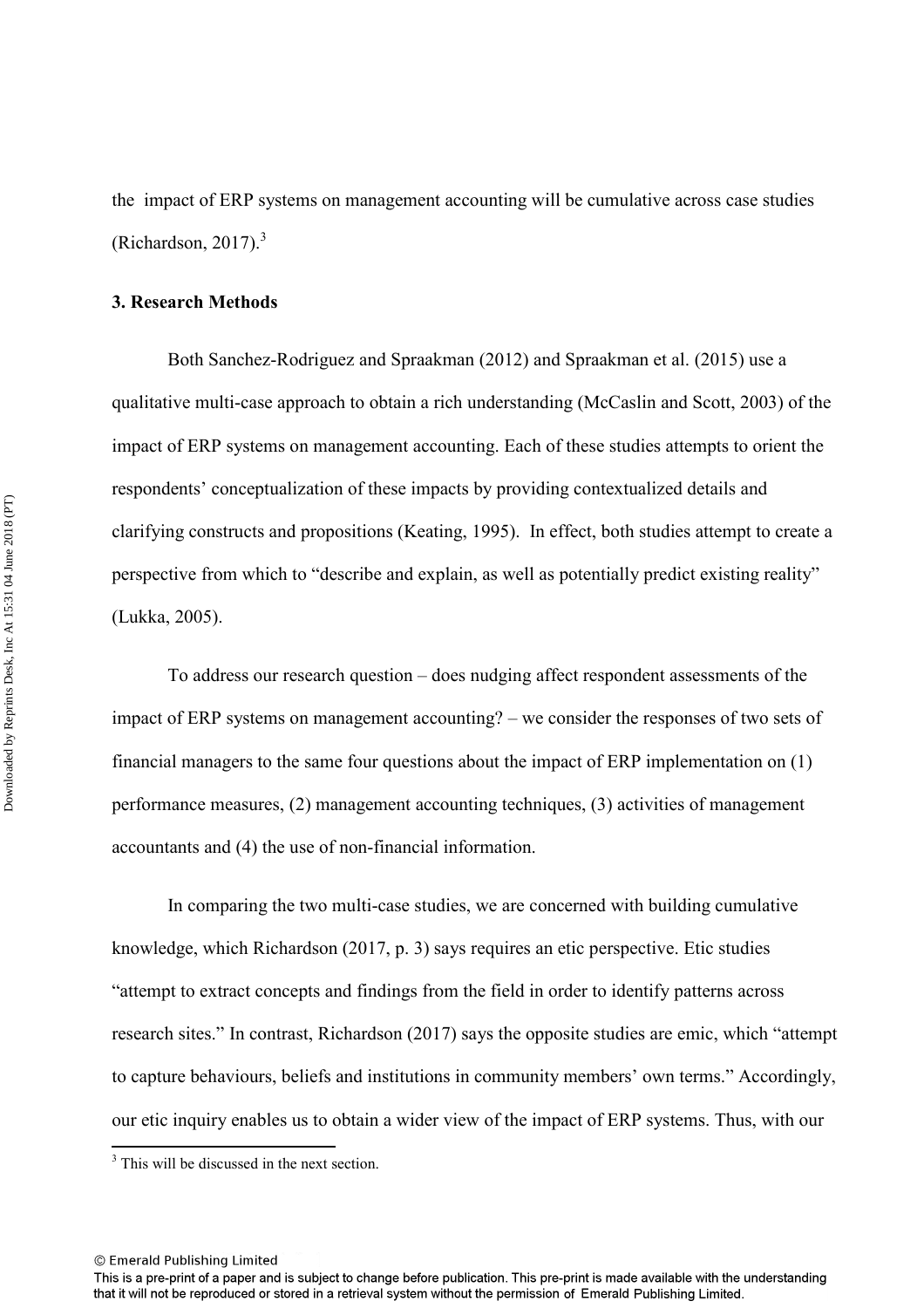the impact of ERP systems on management accounting will be cumulative across case studies (Richardson, 2017). $3$ 

#### **3. Research Methods**

Both Sanchez-Rodriguez and Spraakman (2012) and Spraakman et al. (2015) use a qualitative multi-case approach to obtain a rich understanding (McCaslin and Scott, 2003) of the impact of ERP systems on management accounting. Each of these studies attempts to orient the respondents' conceptualization of these impacts by providing contextualized details and clarifying constructs and propositions (Keating, 1995). In effect, both studies attempt to create a perspective from which to "describe and explain, as well as potentially predict existing reality" (Lukka, 2005).

To address our research question – does nudging affect respondent assessments of the impact of ERP systems on management accounting? – we consider the responses of two sets of financial managers to the same four questions about the impact of ERP implementation on (1) performance measures, (2) management accounting techniques, (3) activities of management accountants and (4) the use of non-financial information.

In comparing the two multi-case studies, we are concerned with building cumulative knowledge, which Richardson (2017, p. 3) says requires an etic perspective. Etic studies "attempt to extract concepts and findings from the field in order to identify patterns across research sites." In contrast, Richardson (2017) says the opposite studies are emic, which "attempt to capture behaviours, beliefs and institutions in community members' own terms." Accordingly, our etic inquiry enables us to obtain a wider view of the impact of ERP systems. Thus, with our

© Emerald Publishing Limited

<sup>&</sup>lt;sup>3</sup> This will be discussed in the next section.

This is a pre-print of a paper and is subject to change before publication. This pre-print is made available with the understanding that it will not be reproduced or stored in a retrieval system without the permission of Emerald Publishing Limited.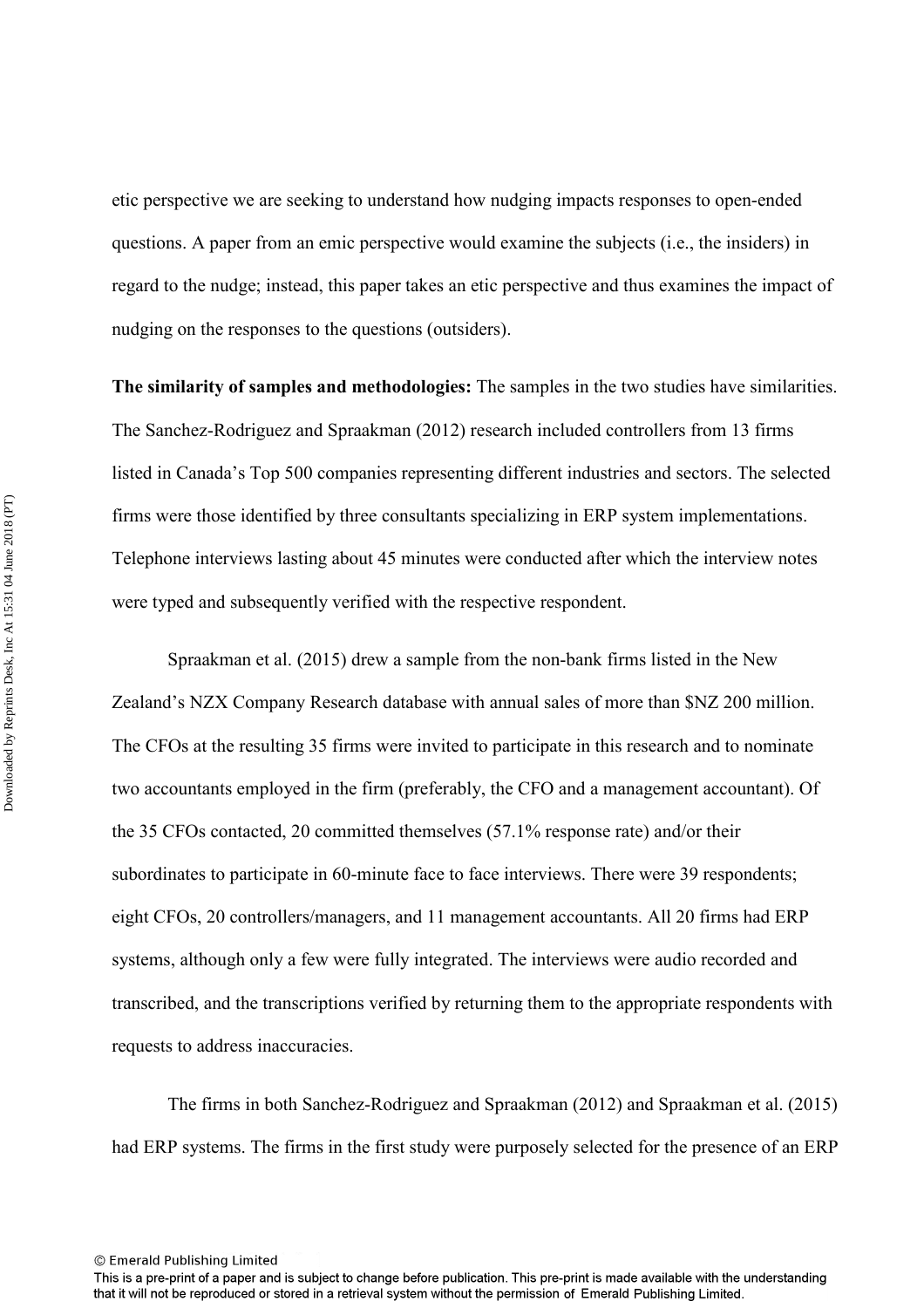etic perspective we are seeking to understand how nudging impacts responses to open-ended questions. A paper from an emic perspective would examine the subjects (i.e., the insiders) in regard to the nudge; instead, this paper takes an etic perspective and thus examines the impact of nudging on the responses to the questions (outsiders).

**The similarity of samples and methodologies:** The samples in the two studies have similarities. The Sanchez-Rodriguez and Spraakman (2012) research included controllers from 13 firms listed in Canada's Top 500 companies representing different industries and sectors. The selected firms were those identified by three consultants specializing in ERP system implementations. Telephone interviews lasting about 45 minutes were conducted after which the interview notes were typed and subsequently verified with the respective respondent.

Spraakman et al. (2015) drew a sample from the non-bank firms listed in the New Zealand's NZX Company Research database with annual sales of more than \$NZ 200 million. The CFOs at the resulting 35 firms were invited to participate in this research and to nominate two accountants employed in the firm (preferably, the CFO and a management accountant). Of the 35 CFOs contacted, 20 committed themselves (57.1% response rate) and/or their subordinates to participate in 60-minute face to face interviews. There were 39 respondents; eight CFOs, 20 controllers/managers, and 11 management accountants. All 20 firms had ERP systems, although only a few were fully integrated. The interviews were audio recorded and transcribed, and the transcriptions verified by returning them to the appropriate respondents with requests to address inaccuracies.

The firms in both Sanchez-Rodriguez and Spraakman (2012) and Spraakman et al. (2015) had ERP systems. The firms in the first study were purposely selected for the presence of an ERP

This is a pre-print of a paper and is subject to change before publication. This pre-print is made available with the understanding that it will not be reproduced or stored in a retrieval system without the permission of Emerald Publishing Limited.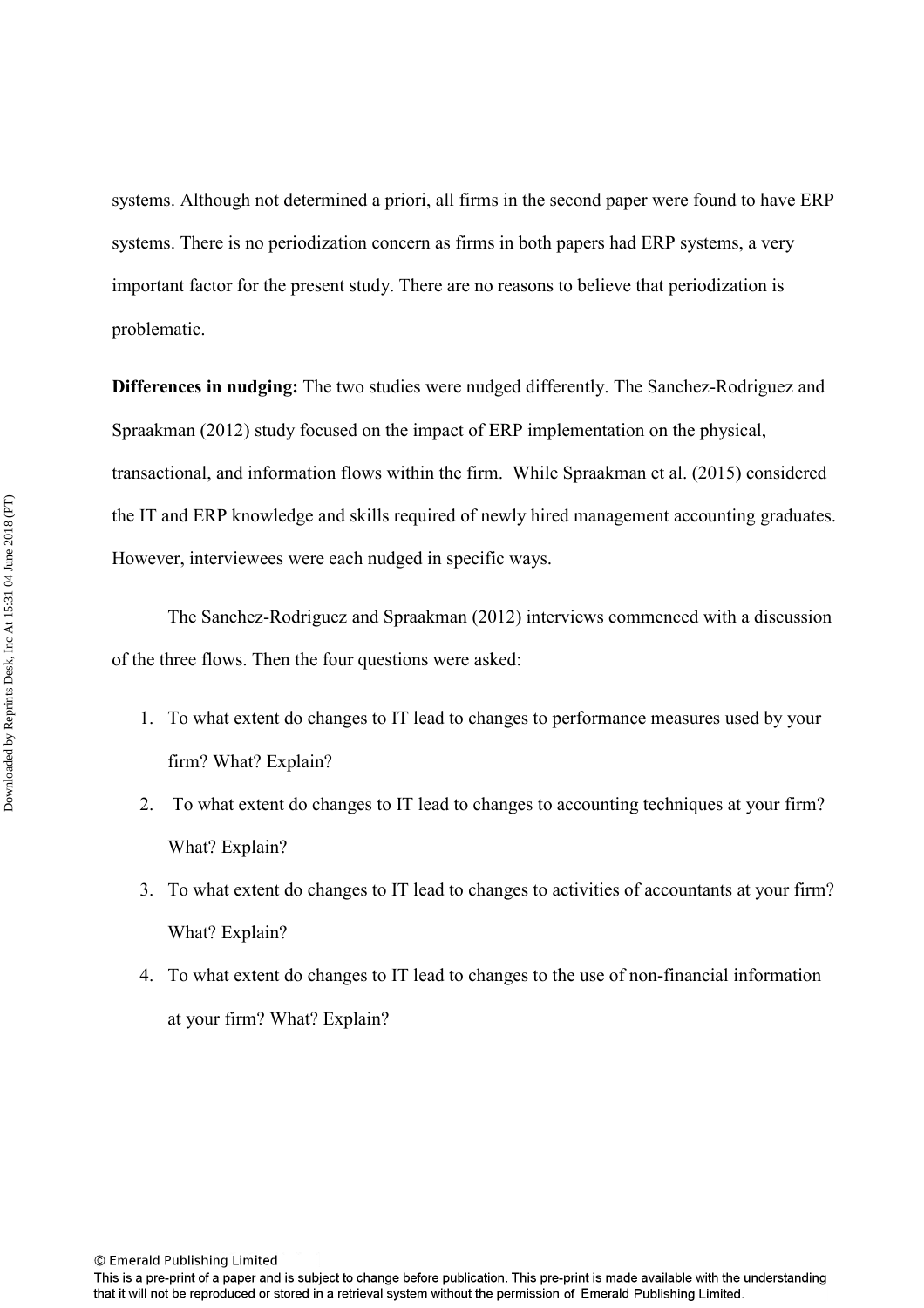systems. Although not determined a priori, all firms in the second paper were found to have ERP systems. There is no periodization concern as firms in both papers had ERP systems, a very important factor for the present study. There are no reasons to believe that periodization is problematic.

**Differences in nudging:** The two studies were nudged differently. The Sanchez-Rodriguez and Spraakman (2012) study focused on the impact of ERP implementation on the physical, transactional, and information flows within the firm. While Spraakman et al. (2015) considered the IT and ERP knowledge and skills required of newly hired management accounting graduates. However, interviewees were each nudged in specific ways.

The Sanchez-Rodriguez and Spraakman (2012) interviews commenced with a discussion of the three flows. Then the four questions were asked:

- 1. To what extent do changes to IT lead to changes to performance measures used by your firm? What? Explain?
- 2. To what extent do changes to IT lead to changes to accounting techniques at your firm? What? Explain?
- 3. To what extent do changes to IT lead to changes to activities of accountants at your firm? What? Explain?
- 4. To what extent do changes to IT lead to changes to the use of non-financial information at your firm? What? Explain?

This is a pre-print of a paper and is subject to change before publication. This pre-print is made available with the understanding that it will not be reproduced or stored in a retrieval system without the permission of Emerald Publishing Limited.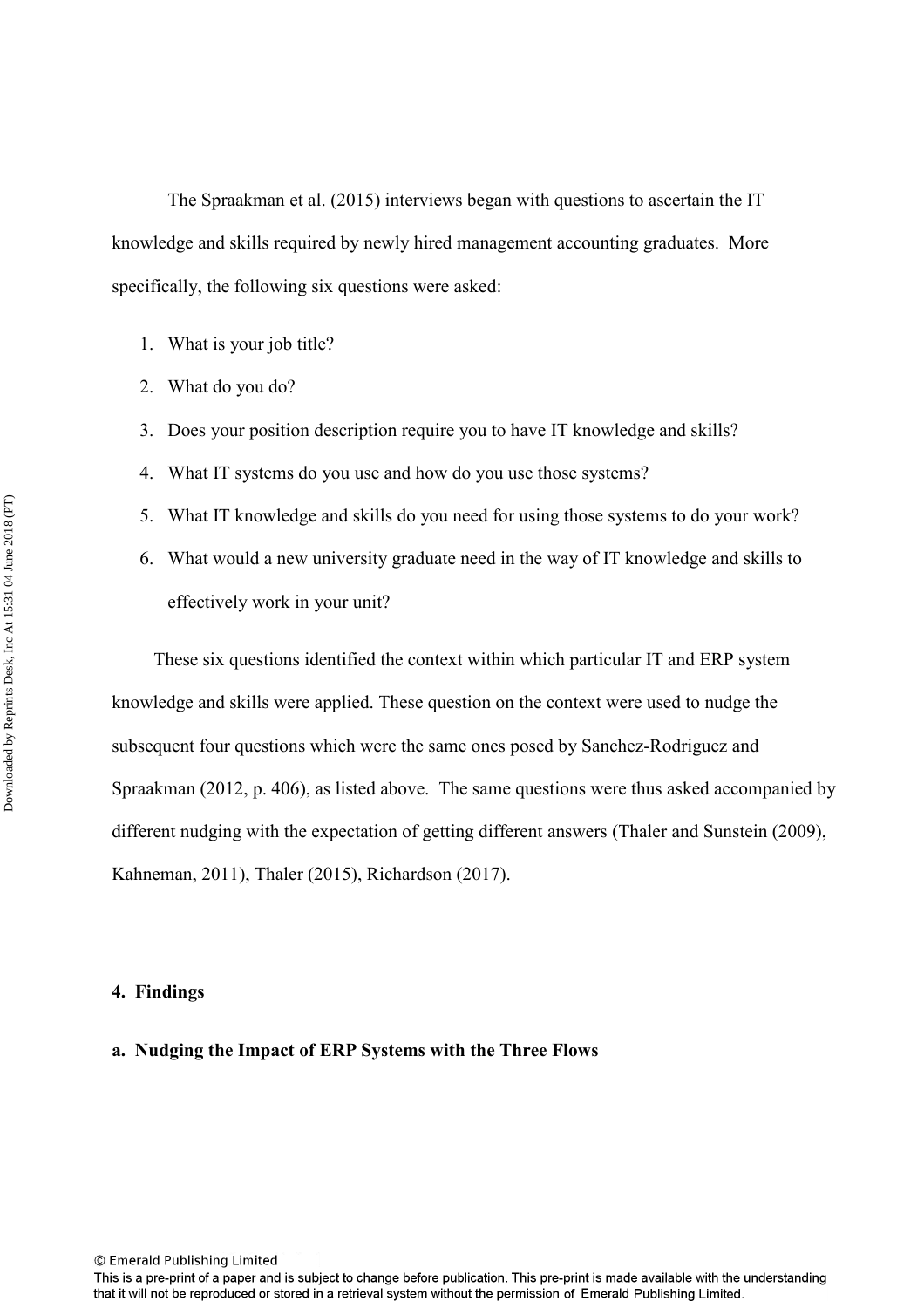The Spraakman et al. (2015) interviews began with questions to ascertain the IT knowledge and skills required by newly hired management accounting graduates. More specifically, the following six questions were asked:

- 1. What is your job title?
- 2. What do you do?
- 3. Does your position description require you to have IT knowledge and skills?
- 4. What IT systems do you use and how do you use those systems?
- 5. What IT knowledge and skills do you need for using those systems to do your work?
- 6. What would a new university graduate need in the way of IT knowledge and skills to effectively work in your unit?

 These six questions identified the context within which particular IT and ERP system knowledge and skills were applied. These question on the context were used to nudge the subsequent four questions which were the same ones posed by Sanchez-Rodriguez and Spraakman (2012, p. 406), as listed above. The same questions were thus asked accompanied by different nudging with the expectation of getting different answers (Thaler and Sunstein (2009), Kahneman, 2011), Thaler (2015), Richardson (2017).

#### **4. Findings**

#### **a. Nudging the Impact of ERP Systems with the Three Flows**

<sup>©</sup> Emerald Publishing Limited

This is a pre-print of a paper and is subject to change before publication. This pre-print is made available with the understanding that it will not be reproduced or stored in a retrieval system without the permission of Emerald Publishing Limited.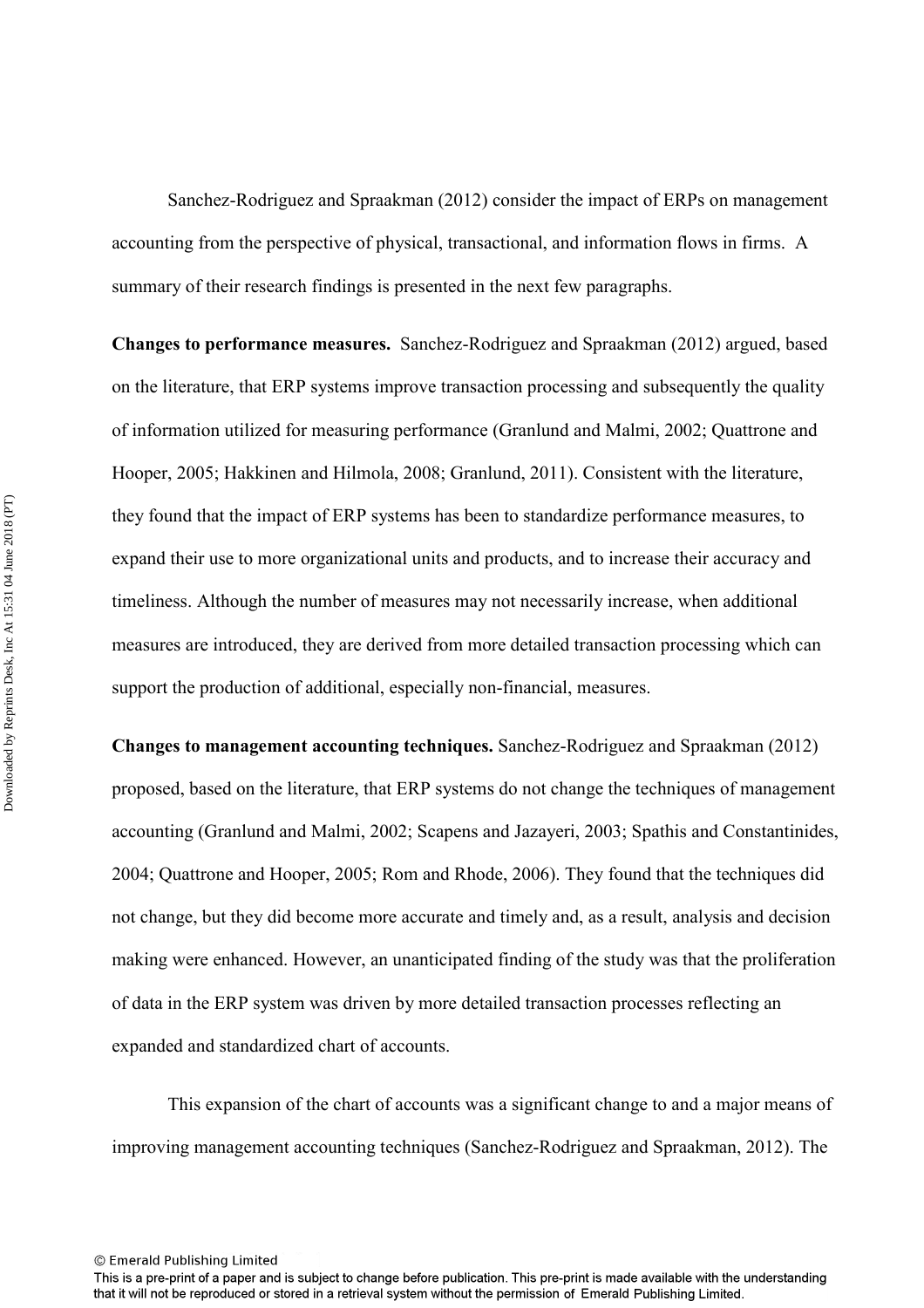Sanchez-Rodriguez and Spraakman (2012) consider the impact of ERPs on management accounting from the perspective of physical, transactional, and information flows in firms. A summary of their research findings is presented in the next few paragraphs.

**Changes to performance measures.** Sanchez-Rodriguez and Spraakman (2012) argued, based on the literature, that ERP systems improve transaction processing and subsequently the quality of information utilized for measuring performance (Granlund and Malmi, 2002; Quattrone and Hooper, 2005; Hakkinen and Hilmola, 2008; Granlund, 2011). Consistent with the literature, they found that the impact of ERP systems has been to standardize performance measures, to expand their use to more organizational units and products, and to increase their accuracy and timeliness. Although the number of measures may not necessarily increase, when additional measures are introduced, they are derived from more detailed transaction processing which can support the production of additional, especially non-financial, measures.

**Changes to management accounting techniques.** Sanchez-Rodriguez and Spraakman (2012) proposed, based on the literature, that ERP systems do not change the techniques of management accounting (Granlund and Malmi, 2002; Scapens and Jazayeri, 2003; Spathis and Constantinides, 2004; Quattrone and Hooper, 2005; Rom and Rhode, 2006). They found that the techniques did not change, but they did become more accurate and timely and, as a result, analysis and decision making were enhanced. However, an unanticipated finding of the study was that the proliferation of data in the ERP system was driven by more detailed transaction processes reflecting an expanded and standardized chart of accounts.

This expansion of the chart of accounts was a significant change to and a major means of improving management accounting techniques (Sanchez-Rodriguez and Spraakman, 2012). The

This is a pre-print of a paper and is subject to change before publication. This pre-print is made available with the understanding that it will not be reproduced or stored in a retrieval system without the permission of Emerald Publishing Limited.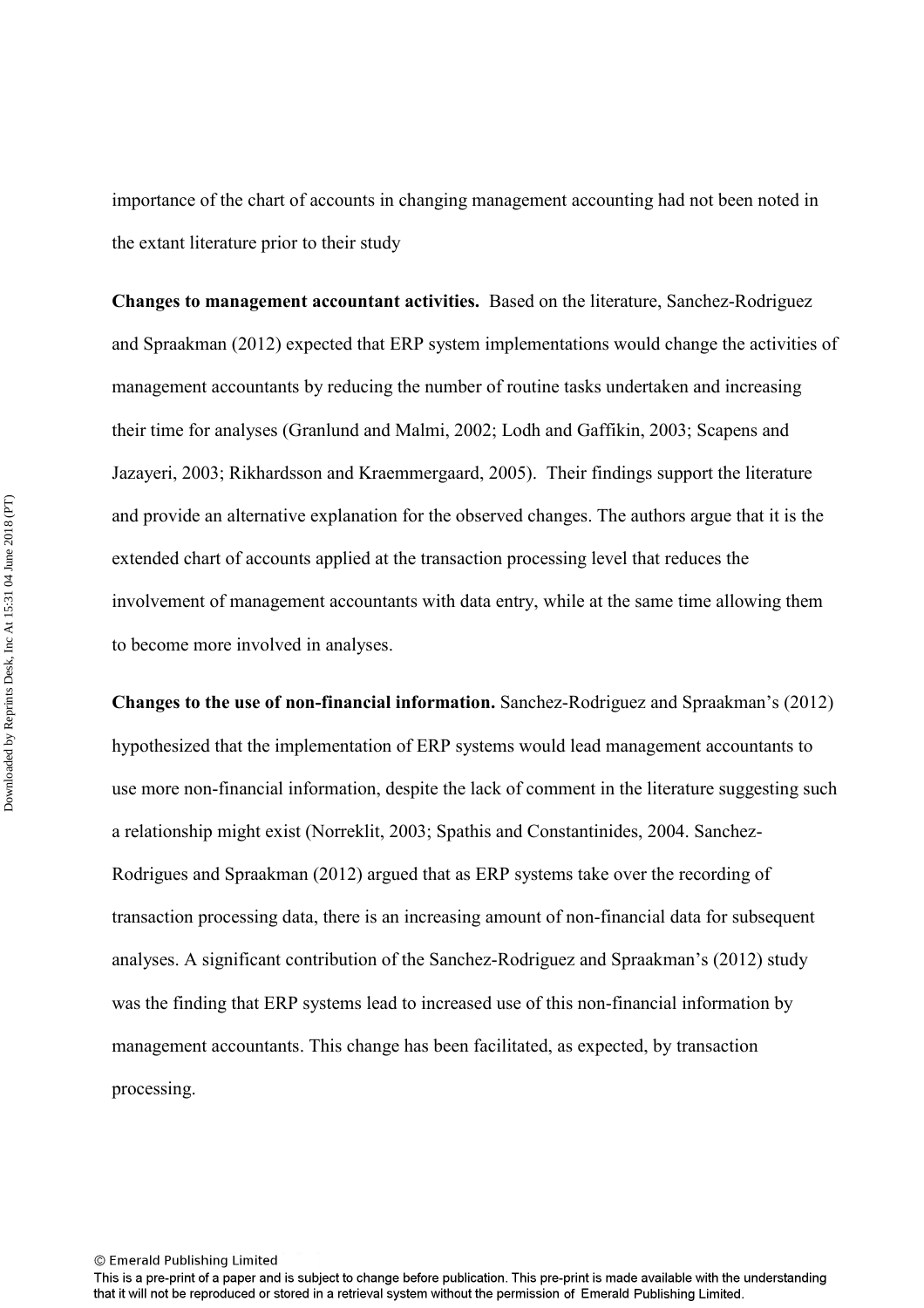importance of the chart of accounts in changing management accounting had not been noted in the extant literature prior to their study

**Changes to management accountant activities.** Based on the literature, Sanchez-Rodriguez and Spraakman (2012) expected that ERP system implementations would change the activities of management accountants by reducing the number of routine tasks undertaken and increasing their time for analyses (Granlund and Malmi, 2002; Lodh and Gaffikin, 2003; Scapens and Jazayeri, 2003; Rikhardsson and Kraemmergaard, 2005). Their findings support the literature and provide an alternative explanation for the observed changes. The authors argue that it is the extended chart of accounts applied at the transaction processing level that reduces the involvement of management accountants with data entry, while at the same time allowing them to become more involved in analyses.

**Changes to the use of non-financial information.** Sanchez-Rodriguez and Spraakman's (2012) hypothesized that the implementation of ERP systems would lead management accountants to use more non-financial information, despite the lack of comment in the literature suggesting such a relationship might exist (Norreklit, 2003; Spathis and Constantinides, 2004. Sanchez-Rodrigues and Spraakman (2012) argued that as ERP systems take over the recording of transaction processing data, there is an increasing amount of non-financial data for subsequent analyses. A significant contribution of the Sanchez-Rodriguez and Spraakman's (2012) study was the finding that ERP systems lead to increased use of this non-financial information by management accountants. This change has been facilitated, as expected, by transaction processing.

This is a pre-print of a paper and is subject to change before publication. This pre-print is made available with the understanding that it will not be reproduced or stored in a retrieval system without the permission of Emerald Publishing Limited.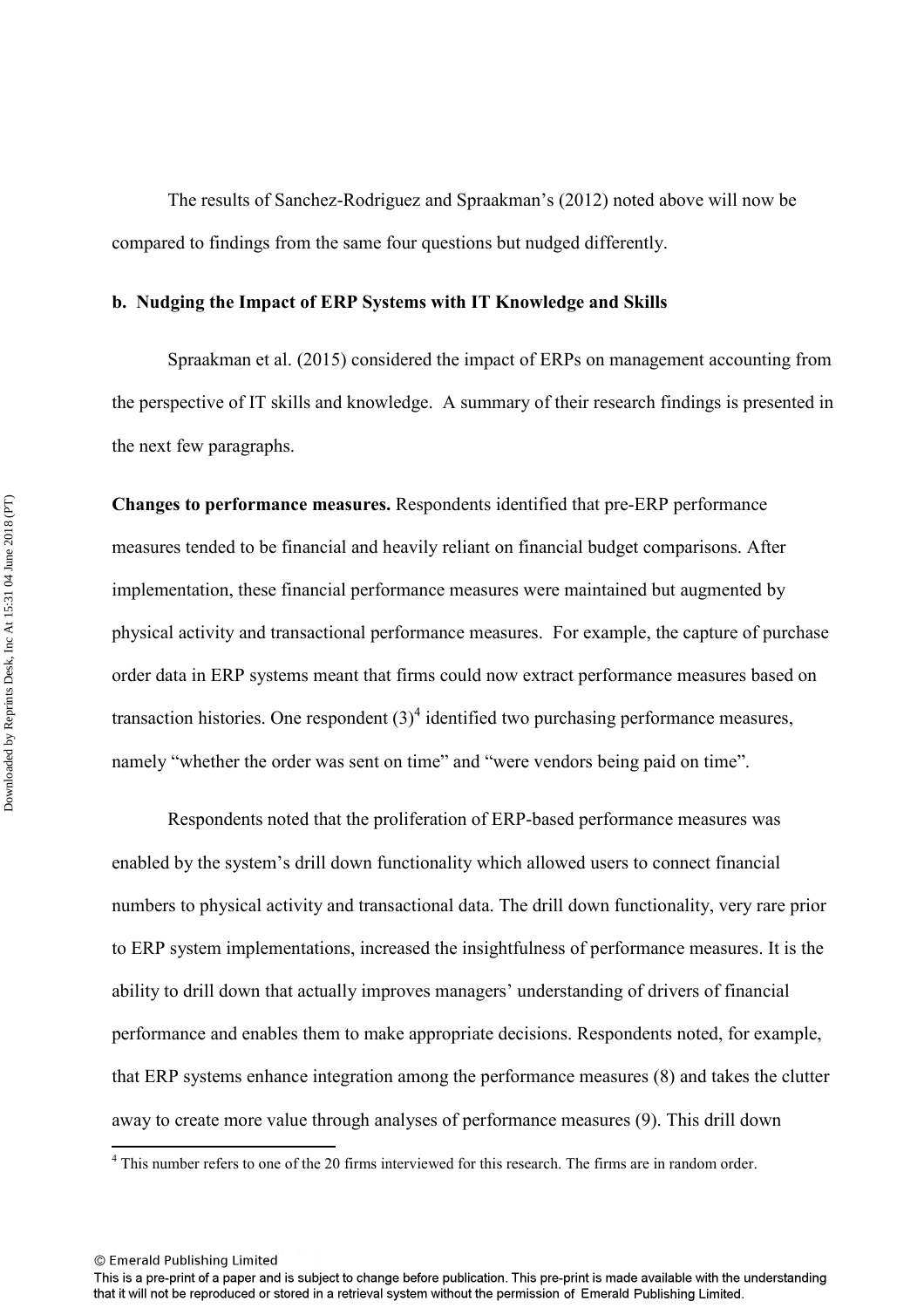The results of Sanchez-Rodriguez and Spraakman's (2012) noted above will now be compared to findings from the same four questions but nudged differently.

#### **b. Nudging the Impact of ERP Systems with IT Knowledge and Skills**

Spraakman et al. (2015) considered the impact of ERPs on management accounting from the perspective of IT skills and knowledge. A summary of their research findings is presented in the next few paragraphs.

**Changes to performance measures.** Respondents identified that pre-ERP performance measures tended to be financial and heavily reliant on financial budget comparisons. After implementation, these financial performance measures were maintained but augmented by physical activity and transactional performance measures. For example, the capture of purchase order data in ERP systems meant that firms could now extract performance measures based on transaction histories. One respondent  $(3)^4$  identified two purchasing performance measures, namely "whether the order was sent on time" and "were vendors being paid on time".

 Respondents noted that the proliferation of ERP-based performance measures was enabled by the system's drill down functionality which allowed users to connect financial numbers to physical activity and transactional data. The drill down functionality, very rare prior to ERP system implementations, increased the insightfulness of performance measures. It is the ability to drill down that actually improves managers' understanding of drivers of financial performance and enables them to make appropriate decisions. Respondents noted, for example, that ERP systems enhance integration among the performance measures (8) and takes the clutter away to create more value through analyses of performance measures (9). This drill down

<sup>&</sup>lt;sup>4</sup> This number refers to one of the 20 firms interviewed for this research. The firms are in random order.

<sup>©</sup> Emerald Publishing Limited

This is a pre-print of a paper and is subject to change before publication. This pre-print is made available with the understanding that it will not be reproduced or stored in a retrieval system without the permission of Emerald Publishing Limited.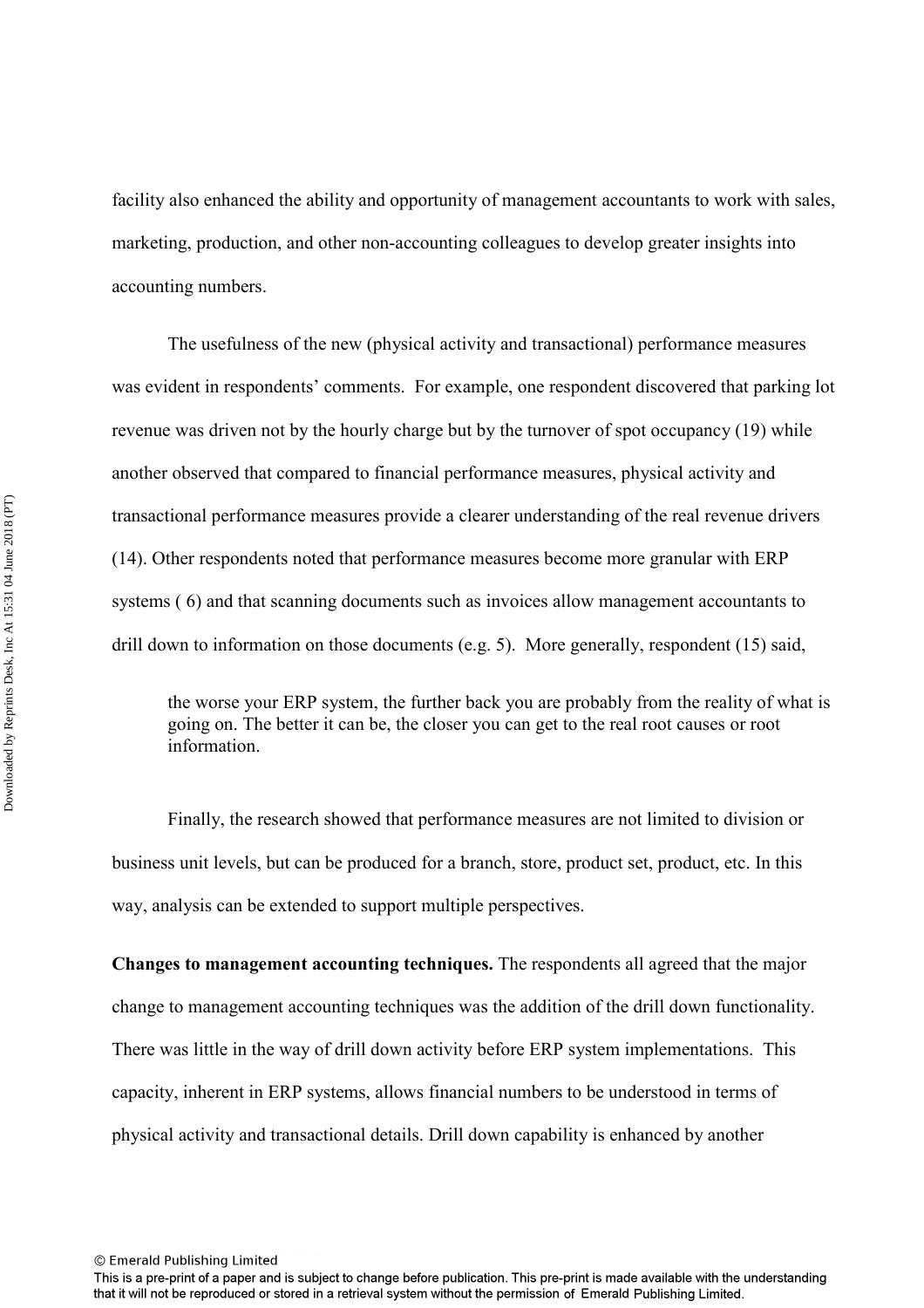facility also enhanced the ability and opportunity of management accountants to work with sales, marketing, production, and other non-accounting colleagues to develop greater insights into accounting numbers.

 The usefulness of the new (physical activity and transactional) performance measures was evident in respondents' comments. For example, one respondent discovered that parking lot revenue was driven not by the hourly charge but by the turnover of spot occupancy (19) while another observed that compared to financial performance measures, physical activity and transactional performance measures provide a clearer understanding of the real revenue drivers (14). Other respondents noted that performance measures become more granular with ERP systems ( 6) and that scanning documents such as invoices allow management accountants to drill down to information on those documents (e.g. 5). More generally, respondent (15) said,

the worse your ERP system, the further back you are probably from the reality of what is going on. The better it can be, the closer you can get to the real root causes or root information.

Finally, the research showed that performance measures are not limited to division or business unit levels, but can be produced for a branch, store, product set, product, etc. In this way, analysis can be extended to support multiple perspectives.

**Changes to management accounting techniques.** The respondents all agreed that the major change to management accounting techniques was the addition of the drill down functionality. There was little in the way of drill down activity before ERP system implementations. This capacity, inherent in ERP systems, allows financial numbers to be understood in terms of physical activity and transactional details. Drill down capability is enhanced by another

<sup>©</sup> Emerald Publishing Limited

This is a pre-print of a paper and is subject to change before publication. This pre-print is made available with the understanding that it will not be reproduced or stored in a retrieval system without the permission of Emerald Publishing Limited.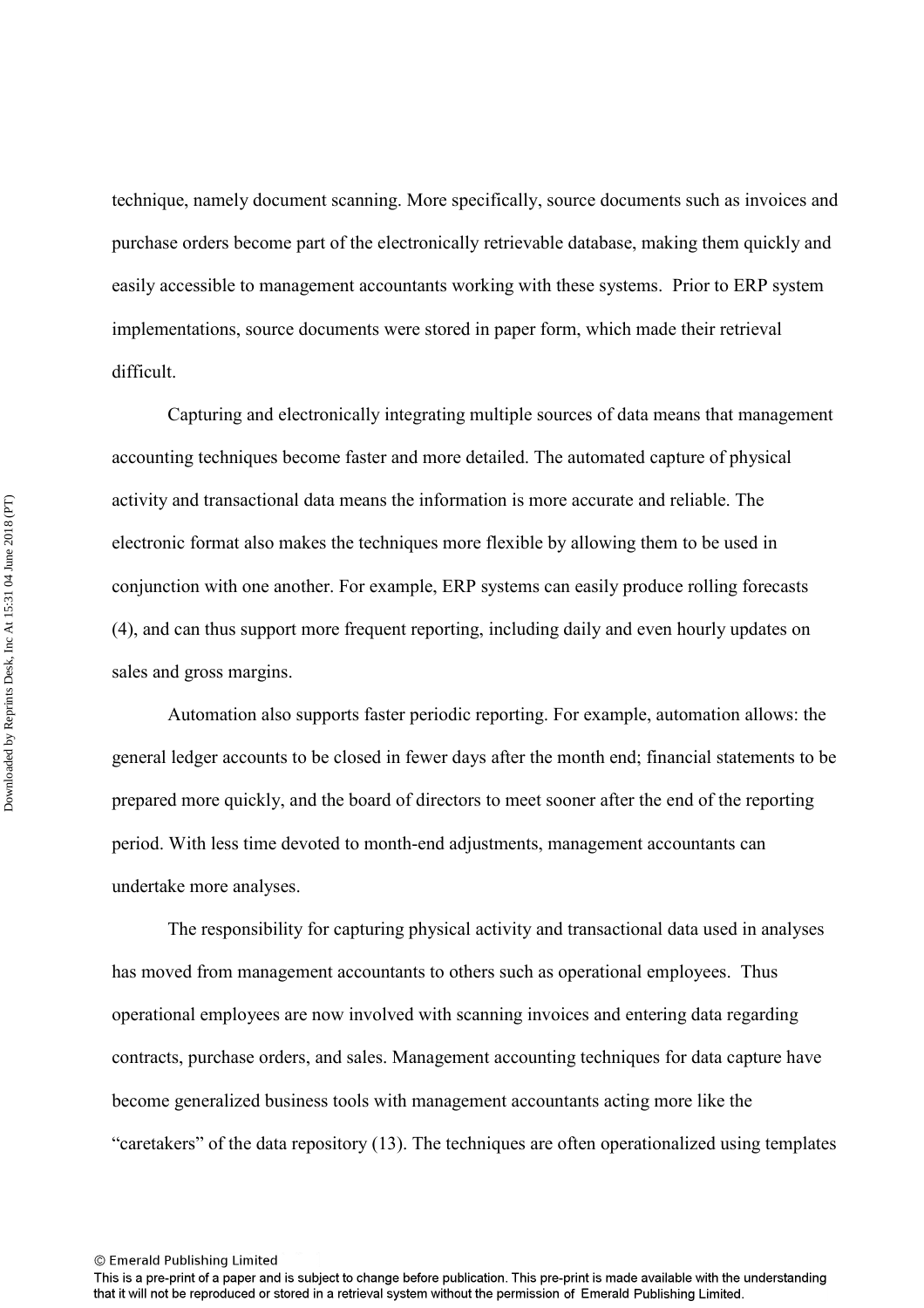technique, namely document scanning. More specifically, source documents such as invoices and purchase orders become part of the electronically retrievable database, making them quickly and easily accessible to management accountants working with these systems. Prior to ERP system implementations, source documents were stored in paper form, which made their retrieval difficult.

 Capturing and electronically integrating multiple sources of data means that management accounting techniques become faster and more detailed. The automated capture of physical activity and transactional data means the information is more accurate and reliable. The electronic format also makes the techniques more flexible by allowing them to be used in conjunction with one another. For example, ERP systems can easily produce rolling forecasts (4), and can thus support more frequent reporting, including daily and even hourly updates on sales and gross margins.

 Automation also supports faster periodic reporting. For example, automation allows: the general ledger accounts to be closed in fewer days after the month end; financial statements to be prepared more quickly, and the board of directors to meet sooner after the end of the reporting period. With less time devoted to month-end adjustments, management accountants can undertake more analyses.

 The responsibility for capturing physical activity and transactional data used in analyses has moved from management accountants to others such as operational employees. Thus operational employees are now involved with scanning invoices and entering data regarding contracts, purchase orders, and sales. Management accounting techniques for data capture have become generalized business tools with management accountants acting more like the "caretakers" of the data repository (13). The techniques are often operationalized using templates

This is a pre-print of a paper and is subject to change before publication. This pre-print is made available with the understanding that it will not be reproduced or stored in a retrieval system without the permission of Emerald Publishing Limited.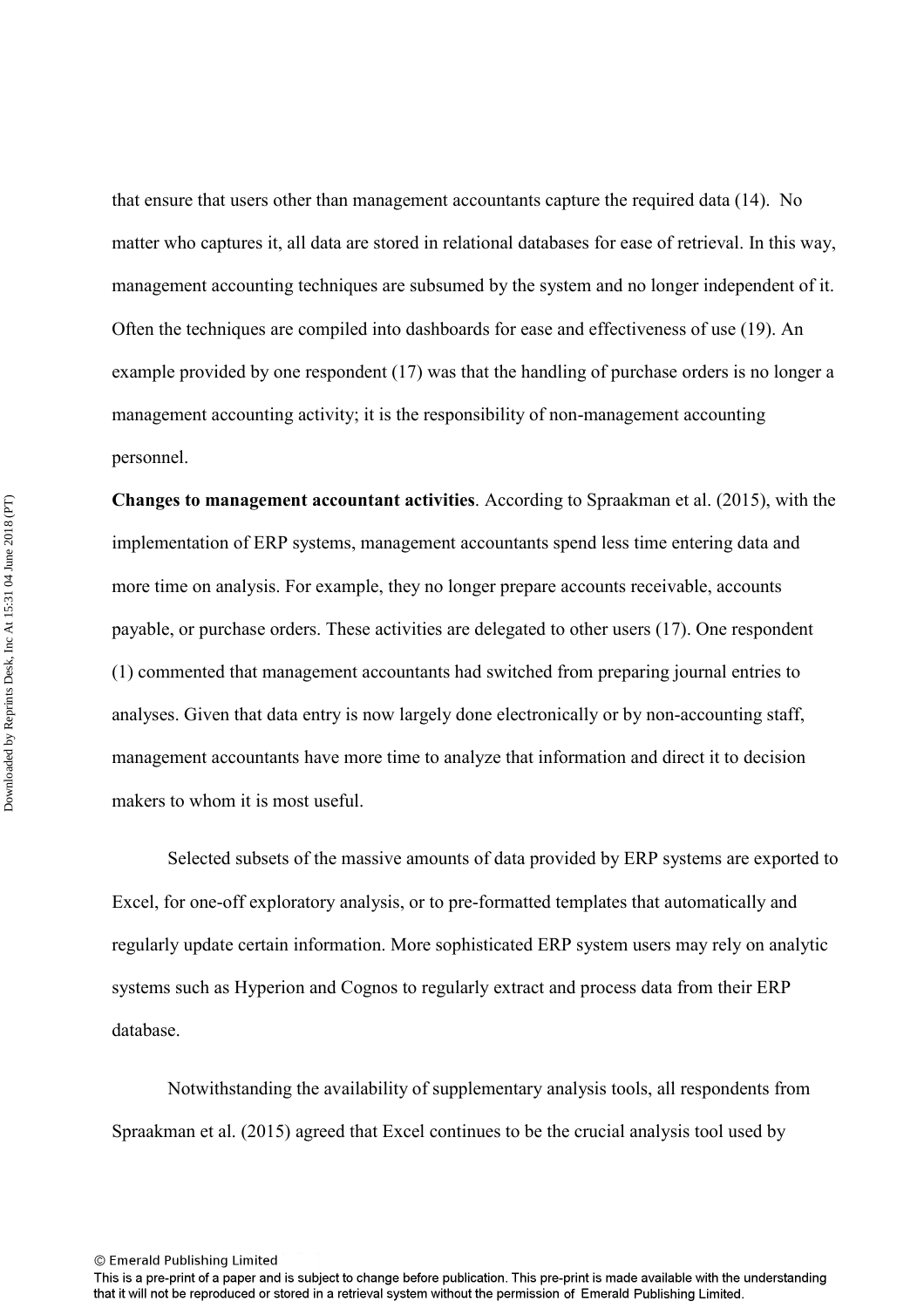that ensure that users other than management accountants capture the required data (14). No matter who captures it, all data are stored in relational databases for ease of retrieval. In this way, management accounting techniques are subsumed by the system and no longer independent of it. Often the techniques are compiled into dashboards for ease and effectiveness of use (19). An example provided by one respondent (17) was that the handling of purchase orders is no longer a management accounting activity; it is the responsibility of non-management accounting personnel.

**Changes to management accountant activities**. According to Spraakman et al. (2015), with the implementation of ERP systems, management accountants spend less time entering data and more time on analysis. For example, they no longer prepare accounts receivable, accounts payable, or purchase orders. These activities are delegated to other users (17). One respondent (1) commented that management accountants had switched from preparing journal entries to analyses. Given that data entry is now largely done electronically or by non-accounting staff, management accountants have more time to analyze that information and direct it to decision makers to whom it is most useful.

 Selected subsets of the massive amounts of data provided by ERP systems are exported to Excel, for one-off exploratory analysis, or to pre-formatted templates that automatically and regularly update certain information. More sophisticated ERP system users may rely on analytic systems such as Hyperion and Cognos to regularly extract and process data from their ERP database.

Notwithstanding the availability of supplementary analysis tools, all respondents from Spraakman et al. (2015) agreed that Excel continues to be the crucial analysis tool used by

This is a pre-print of a paper and is subject to change before publication. This pre-print is made available with the understanding that it will not be reproduced or stored in a retrieval system without the permission of Emerald Publishing Limited.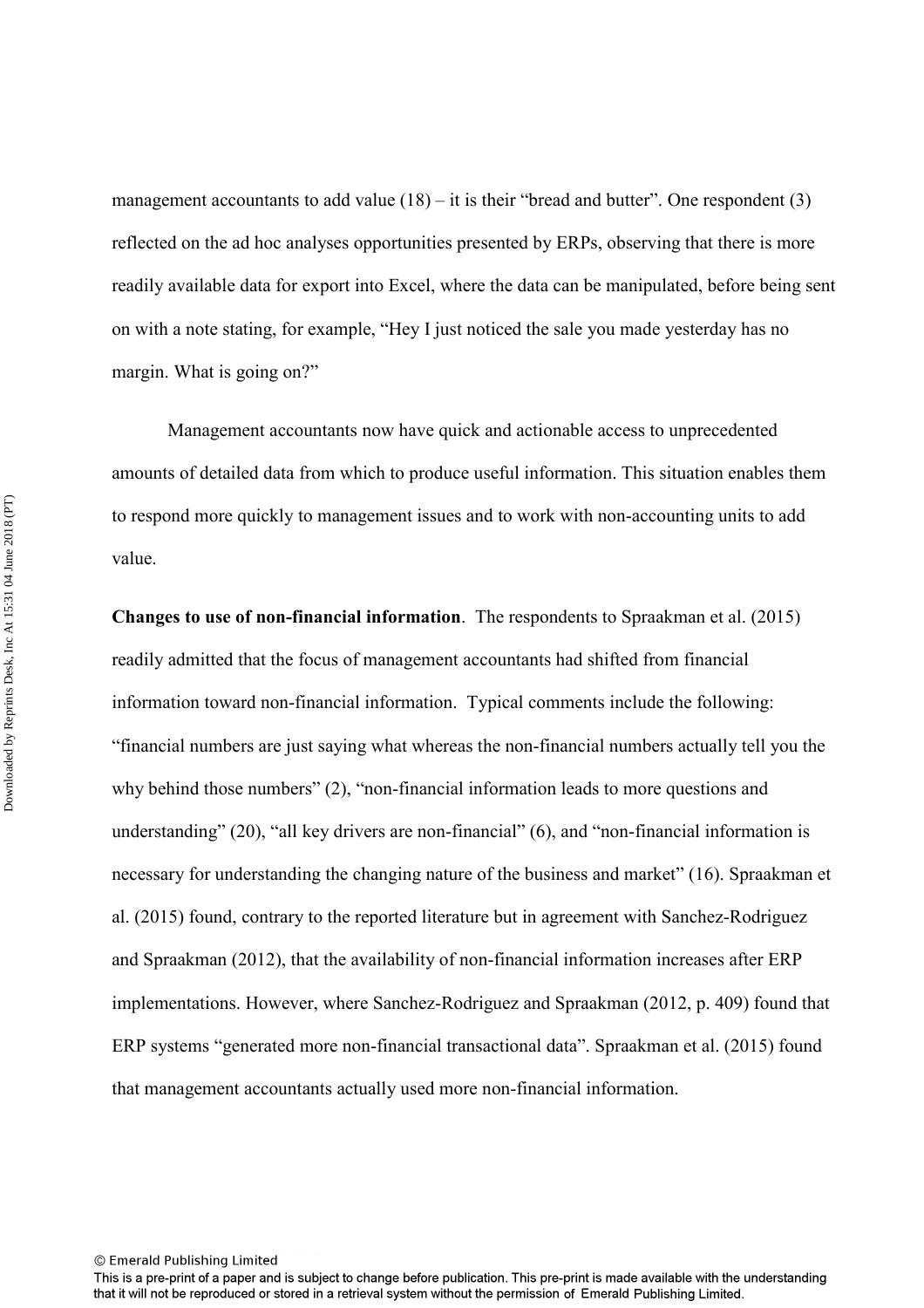management accountants to add value  $(18) -$ it is their "bread and butter". One respondent  $(3)$ reflected on the ad hoc analyses opportunities presented by ERPs, observing that there is more readily available data for export into Excel, where the data can be manipulated, before being sent on with a note stating, for example, "Hey I just noticed the sale you made yesterday has no margin. What is going on?"

 Management accountants now have quick and actionable access to unprecedented amounts of detailed data from which to produce useful information. This situation enables them to respond more quickly to management issues and to work with non-accounting units to add value.

**Changes to use of non-financial information**. The respondents to Spraakman et al. (2015) readily admitted that the focus of management accountants had shifted from financial information toward non-financial information. Typical comments include the following: "financial numbers are just saying what whereas the non-financial numbers actually tell you the why behind those numbers" (2), "non-financial information leads to more questions and understanding" (20), "all key drivers are non-financial" (6), and "non-financial information is necessary for understanding the changing nature of the business and market" (16). Spraakman et al. (2015) found, contrary to the reported literature but in agreement with Sanchez-Rodriguez and Spraakman (2012), that the availability of non-financial information increases after ERP implementations. However, where Sanchez-Rodriguez and Spraakman (2012, p. 409) found that ERP systems "generated more non-financial transactional data". Spraakman et al. (2015) found that management accountants actually used more non-financial information.

This is a pre-print of a paper and is subject to change before publication. This pre-print is made available with the understanding that it will not be reproduced or stored in a retrieval system without the permission of Emerald Publishing Limited.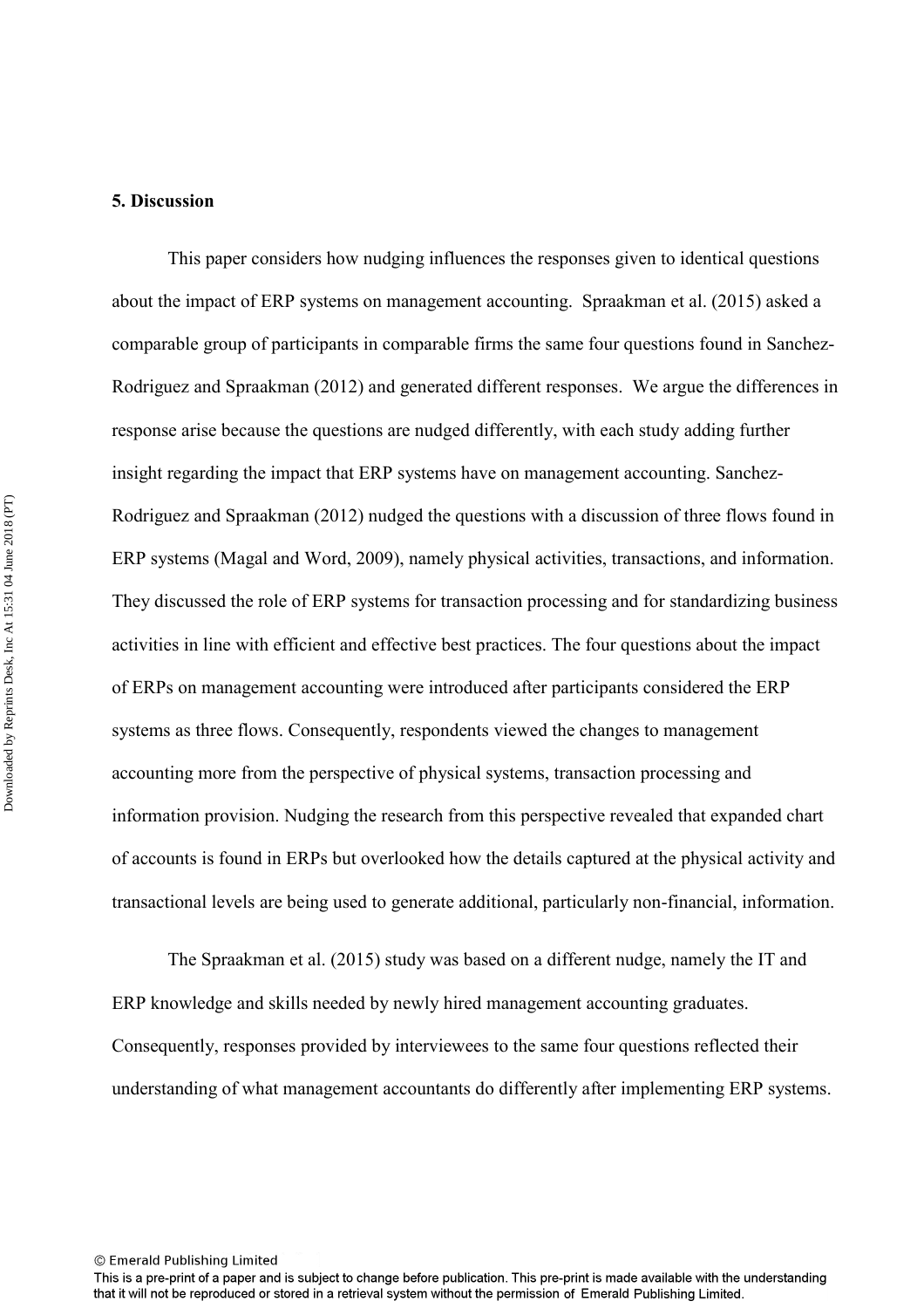#### **5. Discussion**

This paper considers how nudging influences the responses given to identical questions about the impact of ERP systems on management accounting. Spraakman et al. (2015) asked a comparable group of participants in comparable firms the same four questions found in Sanchez-Rodriguez and Spraakman (2012) and generated different responses. We argue the differences in response arise because the questions are nudged differently, with each study adding further insight regarding the impact that ERP systems have on management accounting. Sanchez-Rodriguez and Spraakman (2012) nudged the questions with a discussion of three flows found in ERP systems (Magal and Word, 2009), namely physical activities, transactions, and information. They discussed the role of ERP systems for transaction processing and for standardizing business activities in line with efficient and effective best practices. The four questions about the impact of ERPs on management accounting were introduced after participants considered the ERP systems as three flows. Consequently, respondents viewed the changes to management accounting more from the perspective of physical systems, transaction processing and information provision. Nudging the research from this perspective revealed that expanded chart of accounts is found in ERPs but overlooked how the details captured at the physical activity and transactional levels are being used to generate additional, particularly non-financial, information.

The Spraakman et al. (2015) study was based on a different nudge, namely the IT and ERP knowledge and skills needed by newly hired management accounting graduates. Consequently, responses provided by interviewees to the same four questions reflected their understanding of what management accountants do differently after implementing ERP systems.

This is a pre-print of a paper and is subject to change before publication. This pre-print is made available with the understanding that it will not be reproduced or stored in a retrieval system without the permission of Emerald Publishing Limited.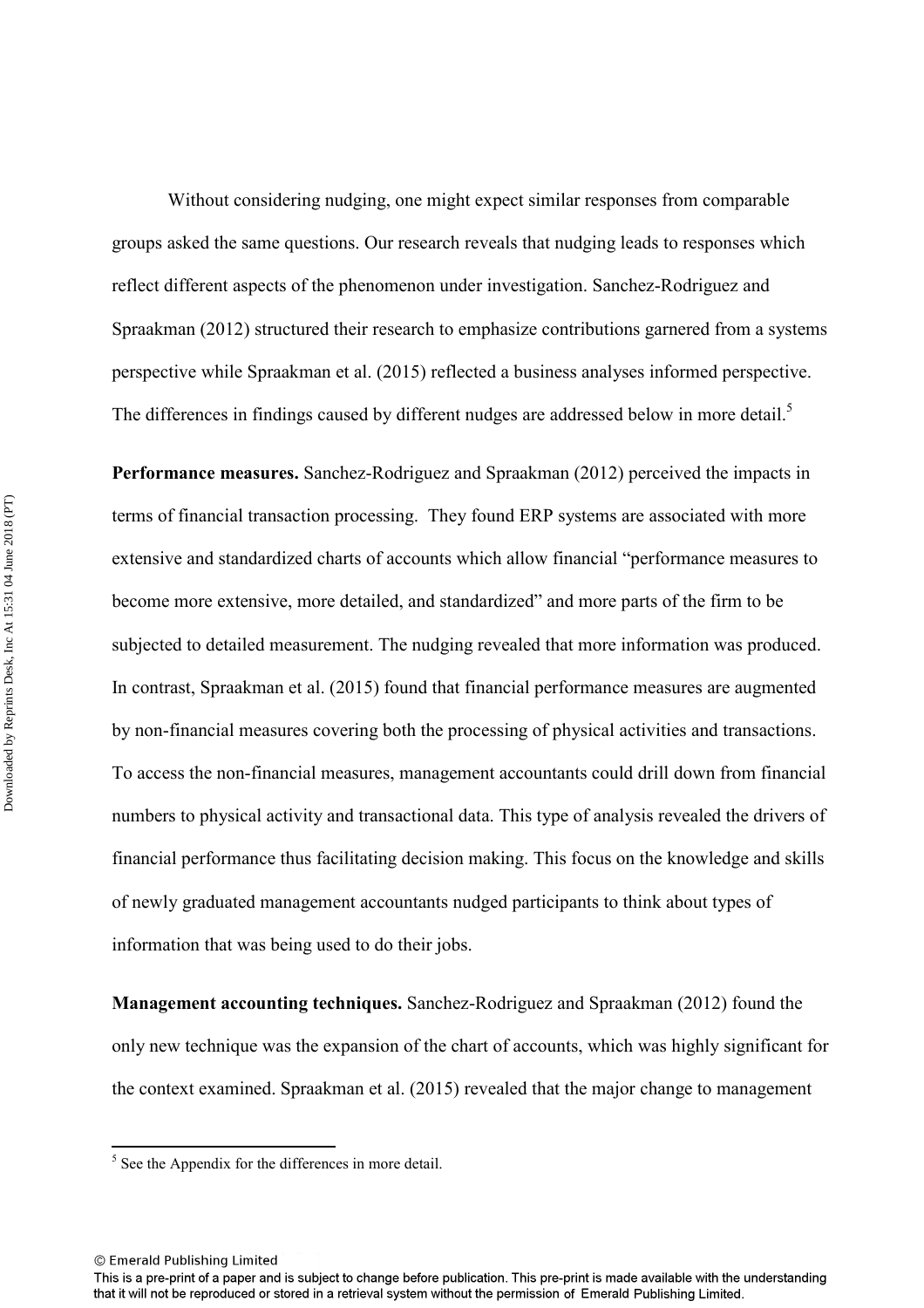Without considering nudging, one might expect similar responses from comparable groups asked the same questions. Our research reveals that nudging leads to responses which reflect different aspects of the phenomenon under investigation. Sanchez-Rodriguez and Spraakman (2012) structured their research to emphasize contributions garnered from a systems perspective while Spraakman et al. (2015) reflected a business analyses informed perspective. The differences in findings caused by different nudges are addressed below in more detail.<sup>5</sup>

**Performance measures.** Sanchez-Rodriguez and Spraakman (2012) perceived the impacts in terms of financial transaction processing. They found ERP systems are associated with more extensive and standardized charts of accounts which allow financial "performance measures to become more extensive, more detailed, and standardized" and more parts of the firm to be subjected to detailed measurement. The nudging revealed that more information was produced. In contrast, Spraakman et al. (2015) found that financial performance measures are augmented by non-financial measures covering both the processing of physical activities and transactions. To access the non-financial measures, management accountants could drill down from financial numbers to physical activity and transactional data. This type of analysis revealed the drivers of financial performance thus facilitating decision making. This focus on the knowledge and skills of newly graduated management accountants nudged participants to think about types of information that was being used to do their jobs.

**Management accounting techniques.** Sanchez-Rodriguez and Spraakman (2012) found the only new technique was the expansion of the chart of accounts, which was highly significant for the context examined. Spraakman et al. (2015) revealed that the major change to management

© Emerald Publishing Limited

 $<sup>5</sup>$  See the Appendix for the differences in more detail.</sup>

This is a pre-print of a paper and is subject to change before publication. This pre-print is made available with the understanding that it will not be reproduced or stored in a retrieval system without the permission of Emerald Publishing Limited.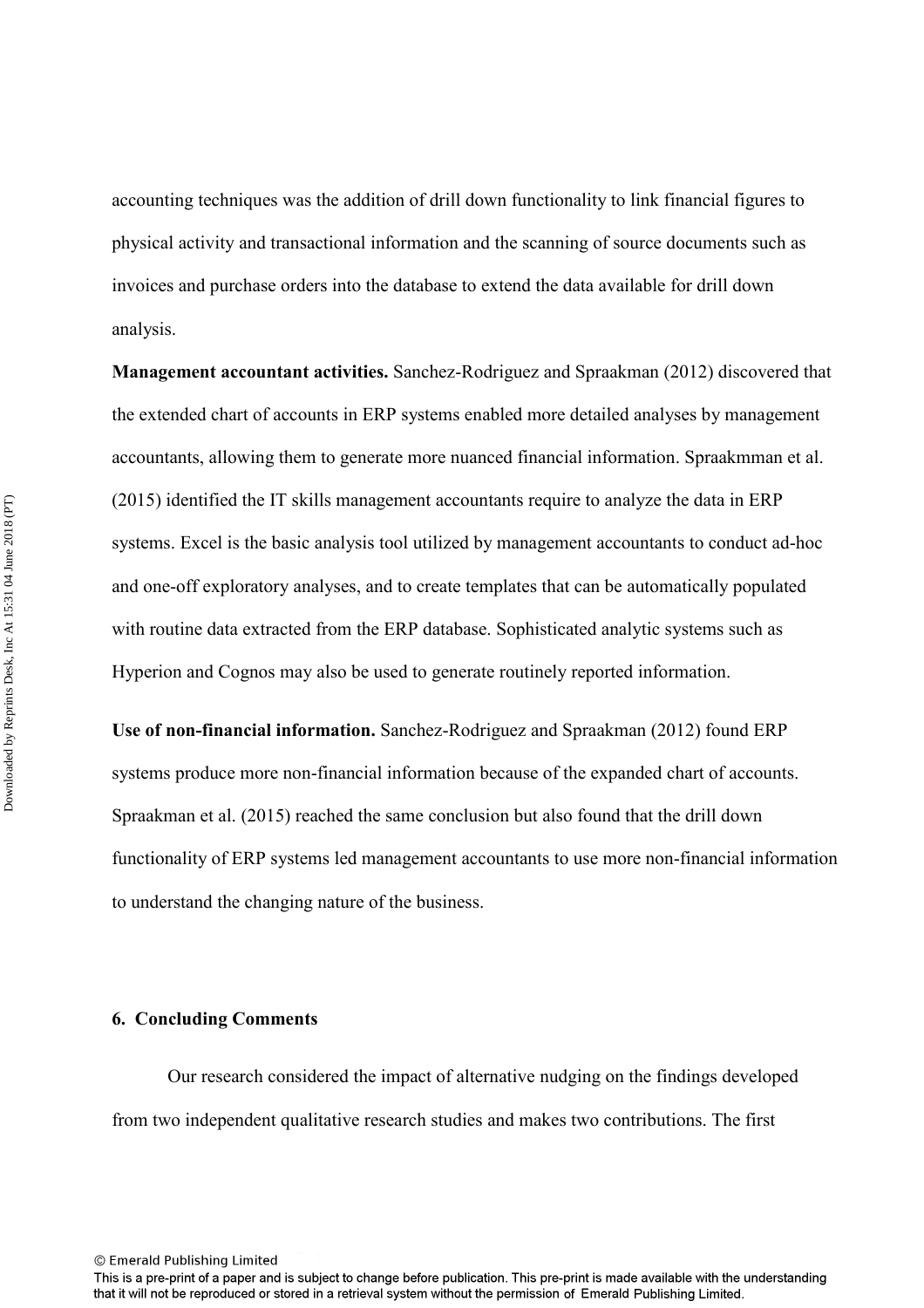accounting techniques was the addition of drill down functionality to link financial figures to physical activity and transactional information and the scanning of source documents such as invoices and purchase orders into the database to extend the data available for drill down analysis.

**Management accountant activities.** Sanchez-Rodriguez and Spraakman (2012) discovered that the extended chart of accounts in ERP systems enabled more detailed analyses by management accountants, allowing them to generate more nuanced financial information. Spraakmman et al. (2015) identified the IT skills management accountants require to analyze the data in ERP systems. Excel is the basic analysis tool utilized by management accountants to conduct ad-hoc and one-off exploratory analyses, and to create templates that can be automatically populated with routine data extracted from the ERP database. Sophisticated analytic systems such as Hyperion and Cognos may also be used to generate routinely reported information.

**Use of non-financial information.** Sanchez-Rodriguez and Spraakman (2012) found ERP systems produce more non-financial information because of the expanded chart of accounts. Spraakman et al. (2015) reached the same conclusion but also found that the drill down functionality of ERP systems led management accountants to use more non-financial information to understand the changing nature of the business.

#### **6. Concluding Comments**

Our research considered the impact of alternative nudging on the findings developed from two independent qualitative research studies and makes two contributions. The first

This is a pre-print of a paper and is subject to change before publication. This pre-print is made available with the understanding that it will not be reproduced or stored in a retrieval system without the permission of Emerald Publishing Limited.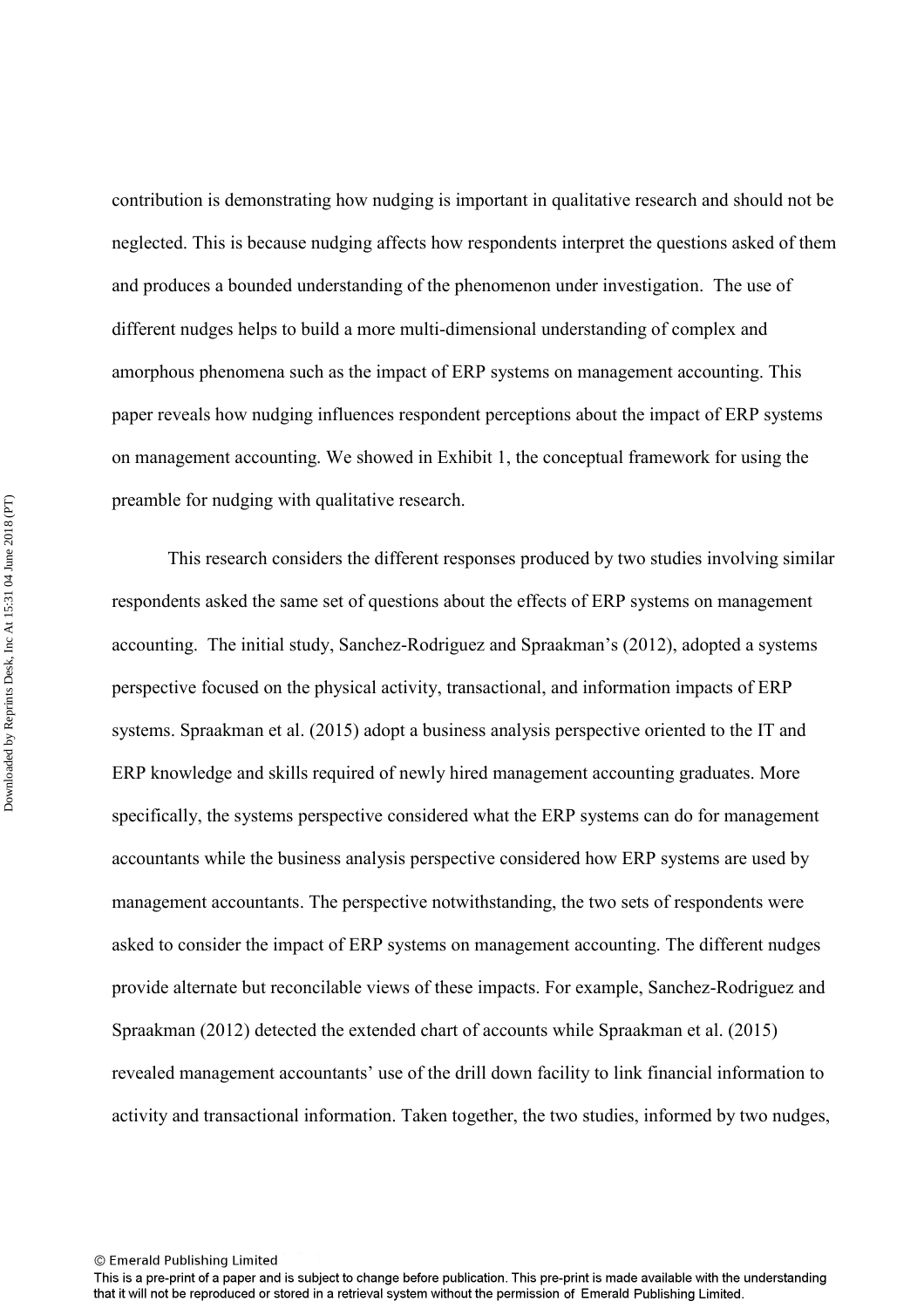contribution is demonstrating how nudging is important in qualitative research and should not be neglected. This is because nudging affects how respondents interpret the questions asked of them and produces a bounded understanding of the phenomenon under investigation. The use of different nudges helps to build a more multi-dimensional understanding of complex and amorphous phenomena such as the impact of ERP systems on management accounting. This paper reveals how nudging influences respondent perceptions about the impact of ERP systems on management accounting. We showed in Exhibit 1, the conceptual framework for using the preamble for nudging with qualitative research.

This research considers the different responses produced by two studies involving similar respondents asked the same set of questions about the effects of ERP systems on management accounting. The initial study, Sanchez-Rodriguez and Spraakman's (2012), adopted a systems perspective focused on the physical activity, transactional, and information impacts of ERP systems. Spraakman et al. (2015) adopt a business analysis perspective oriented to the IT and ERP knowledge and skills required of newly hired management accounting graduates. More specifically, the systems perspective considered what the ERP systems can do for management accountants while the business analysis perspective considered how ERP systems are used by management accountants. The perspective notwithstanding, the two sets of respondents were asked to consider the impact of ERP systems on management accounting. The different nudges provide alternate but reconcilable views of these impacts. For example, Sanchez-Rodriguez and Spraakman (2012) detected the extended chart of accounts while Spraakman et al. (2015) revealed management accountants' use of the drill down facility to link financial information to activity and transactional information. Taken together, the two studies, informed by two nudges,

This is a pre-print of a paper and is subject to change before publication. This pre-print is made available with the understanding that it will not be reproduced or stored in a retrieval system without the permission of Emerald Publishing Limited.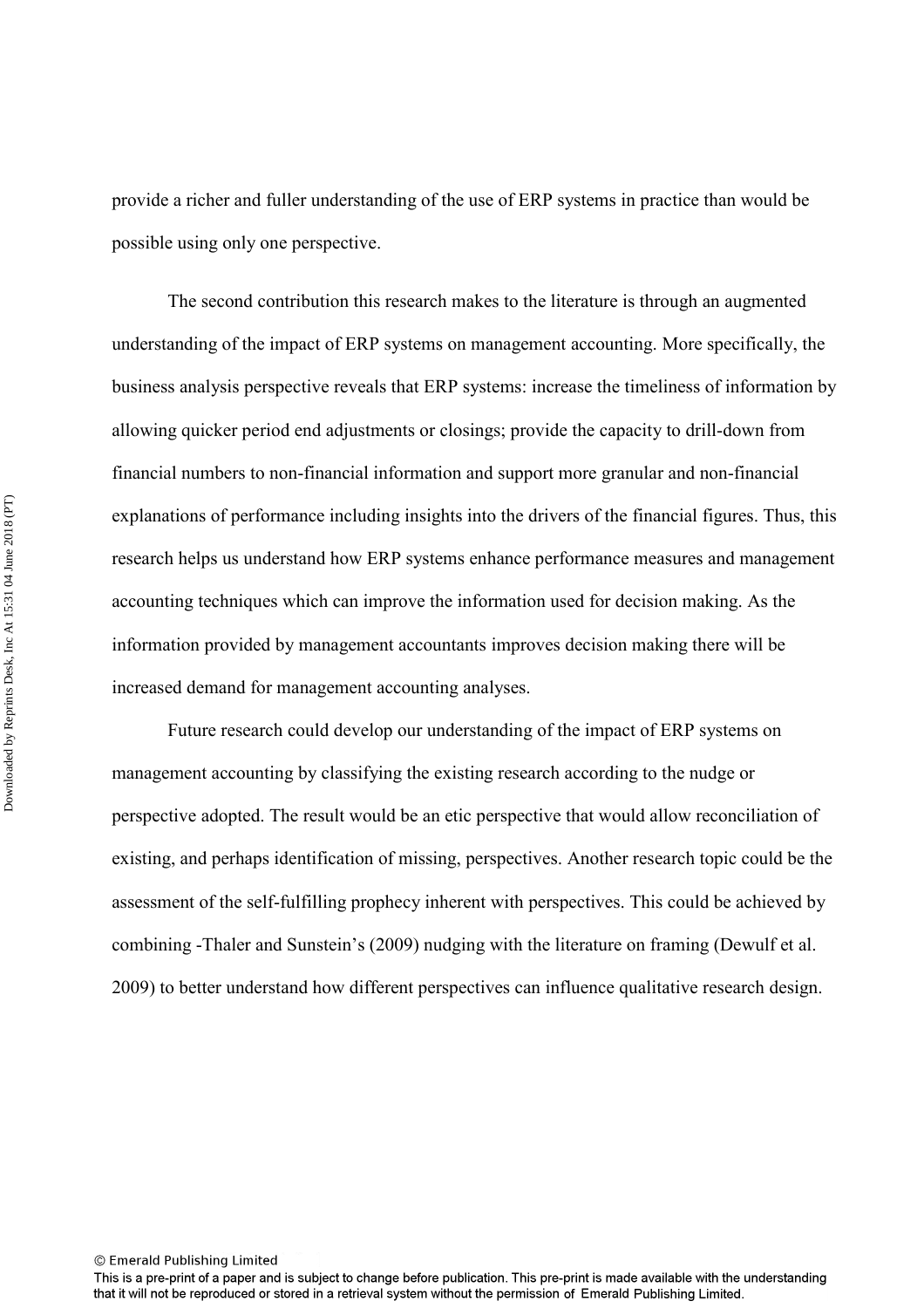provide a richer and fuller understanding of the use of ERP systems in practice than would be possible using only one perspective.

The second contribution this research makes to the literature is through an augmented understanding of the impact of ERP systems on management accounting. More specifically, the business analysis perspective reveals that ERP systems: increase the timeliness of information by allowing quicker period end adjustments or closings; provide the capacity to drill-down from financial numbers to non-financial information and support more granular and non-financial explanations of performance including insights into the drivers of the financial figures. Thus, this research helps us understand how ERP systems enhance performance measures and management accounting techniques which can improve the information used for decision making. As the information provided by management accountants improves decision making there will be increased demand for management accounting analyses.

Future research could develop our understanding of the impact of ERP systems on management accounting by classifying the existing research according to the nudge or perspective adopted. The result would be an etic perspective that would allow reconciliation of existing, and perhaps identification of missing, perspectives. Another research topic could be the assessment of the self-fulfilling prophecy inherent with perspectives. This could be achieved by combining -Thaler and Sunstein's (2009) nudging with the literature on framing (Dewulf et al. 2009) to better understand how different perspectives can influence qualitative research design.

This is a pre-print of a paper and is subject to change before publication. This pre-print is made available with the understanding that it will not be reproduced or stored in a retrieval system without the permission of Emerald Publishing Limited.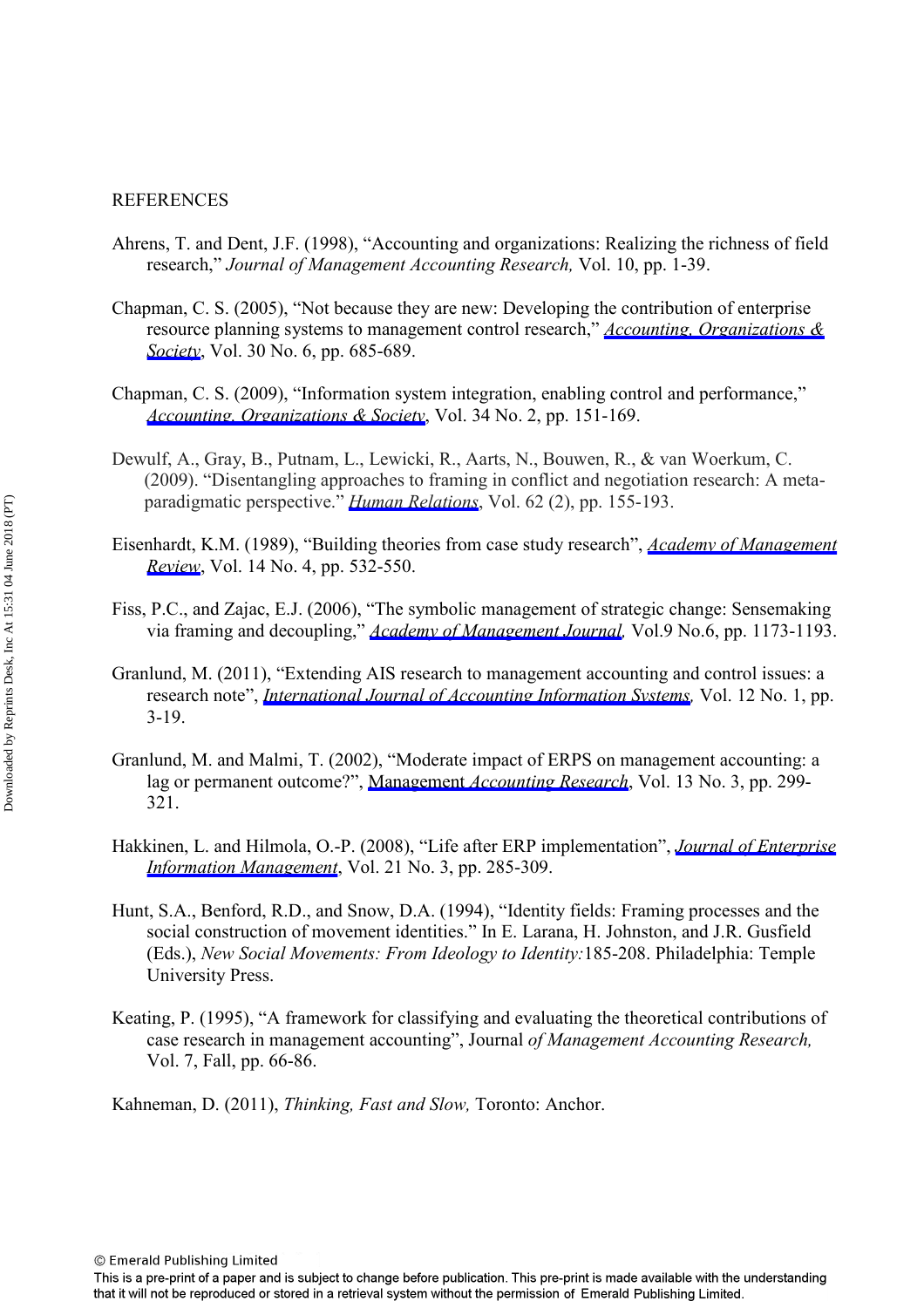#### **REFERENCES**

- Ahrens, T. and Dent, J.F. (1998), "Accounting and organizations: Realizing the richness of field research," *Journal of Management Accounting Research,* Vol. 10, pp. 1-39.
- Chapman, C. S. (2005), "Not because they are new: Developing the contribution of enterprise resource planning systems to management control research," *[Accounting, Organizations &](https://www.emeraldinsight.com/action/showLinks?doi=10.1108%2FJAOC-06-2016-0038&crossref=10.1016%2Fj.aos.2005.02.002&citationId=p_2)  [Society](https://www.emeraldinsight.com/action/showLinks?doi=10.1108%2FJAOC-06-2016-0038&crossref=10.1016%2Fj.aos.2005.02.002&citationId=p_2)*, Vol. 30 No. 6, pp. 685-689.
- Chapman, C. S. (2009), "Information system integration, enabling control and performance," *[Accounting, Organizations & Society](https://www.emeraldinsight.com/action/showLinks?doi=10.1108%2FJAOC-06-2016-0038&crossref=10.1016%2Fj.aos.2008.07.003&isi=000263389600001&citationId=p_3)*, Vol. 34 No. 2, pp. 151-169.
- Dewulf, A., Gray, B., Putnam, L., Lewicki, R., Aarts, N., Bouwen, R., & van Woerkum, C. (2009). "Disentangling approaches to framing in conflict and negotiation research: A meta paradigmatic perspective." *[Human Relations](https://www.emeraldinsight.com/action/showLinks?doi=10.1108%2FJAOC-06-2016-0038&crossref=10.1177%2F0018726708100356&isi=000262951000001&citationId=p_4)*, Vol. 62 (2), pp. 155-193.
- Eisenhardt, K.M. (1989), "Building theories from case study research", *[Academy of Management](https://www.emeraldinsight.com/action/showLinks?doi=10.1108%2FJAOC-06-2016-0038&crossref=10.5465%2Famr.1989.4308385&isi=A1989AV14400005&citationId=p_5) [Review](https://www.emeraldinsight.com/action/showLinks?doi=10.1108%2FJAOC-06-2016-0038&crossref=10.5465%2Famr.1989.4308385&isi=A1989AV14400005&citationId=p_5)*, Vol. 14 No. 4, pp. 532-550.
- Fiss, P.C., and Zajac, E.J. (2006), "The symbolic management of strategic change: Sensemaking via framing and decoupling," *[Academy of Management Journal](https://www.emeraldinsight.com/action/showLinks?doi=10.1108%2FJAOC-06-2016-0038&crossref=10.5465%2FAMJ.2006.23478255&citationId=p_6),* Vol.9 No.6, pp. 1173-1193.
- Granlund, M. (2011), "Extending AIS research to management accounting and control issues: a research note", *[International Journal of Accounting Information Systems](https://www.emeraldinsight.com/action/showLinks?doi=10.1108%2FJAOC-06-2016-0038&crossref=10.1016%2Fj.accinf.2010.11.001&citationId=p_7),* Vol. 12 No. 1, pp. 3-19.
- Granlund, M. and Malmi, T. (2002), "Moderate impact of ERPS on management accounting: a lag or permanent outcome?", Management *[Accounting Research](https://www.emeraldinsight.com/action/showLinks?doi=10.1108%2FJAOC-06-2016-0038&crossref=10.1006%2Fmare.2002.0189&citationId=p_8)*, Vol. 13 No. 3, pp. 299- 321.
- Hakkinen, L. and Hilmola, O.-P. (2008), "Life after ERP implementation", *[Journal of Enterprise](https://www.emeraldinsight.com/action/showLinks?doi=10.1108%2FJAOC-06-2016-0038&system=10.1108%2F17410390810866646&citationId=p_9) [Information Management](https://www.emeraldinsight.com/action/showLinks?doi=10.1108%2FJAOC-06-2016-0038&system=10.1108%2F17410390810866646&citationId=p_9)*, Vol. 21 No. 3, pp. 285-309.
- Hunt, S.A., Benford, R.D., and Snow, D.A. (1994), "Identity fields: Framing processes and the social construction of movement identities." In E. Larana, H. Johnston, and J.R. Gusfield (Eds.), *New Social Movements: From Ideology to Identity:*185-208. Philadelphia: Temple University Press.
- Keating, P. (1995), "A framework for classifying and evaluating the theoretical contributions of case research in management accounting", Journal *of Management Accounting Research,*  Vol. 7, Fall, pp. 66-86.

Kahneman, D. (2011), *Thinking, Fast and Slow,* Toronto: Anchor.

This is a pre-print of a paper and is subject to change before publication. This pre-print is made available with the understanding that it will not be reproduced or stored in a retrieval system without the permission of Emerald Publishing Limited.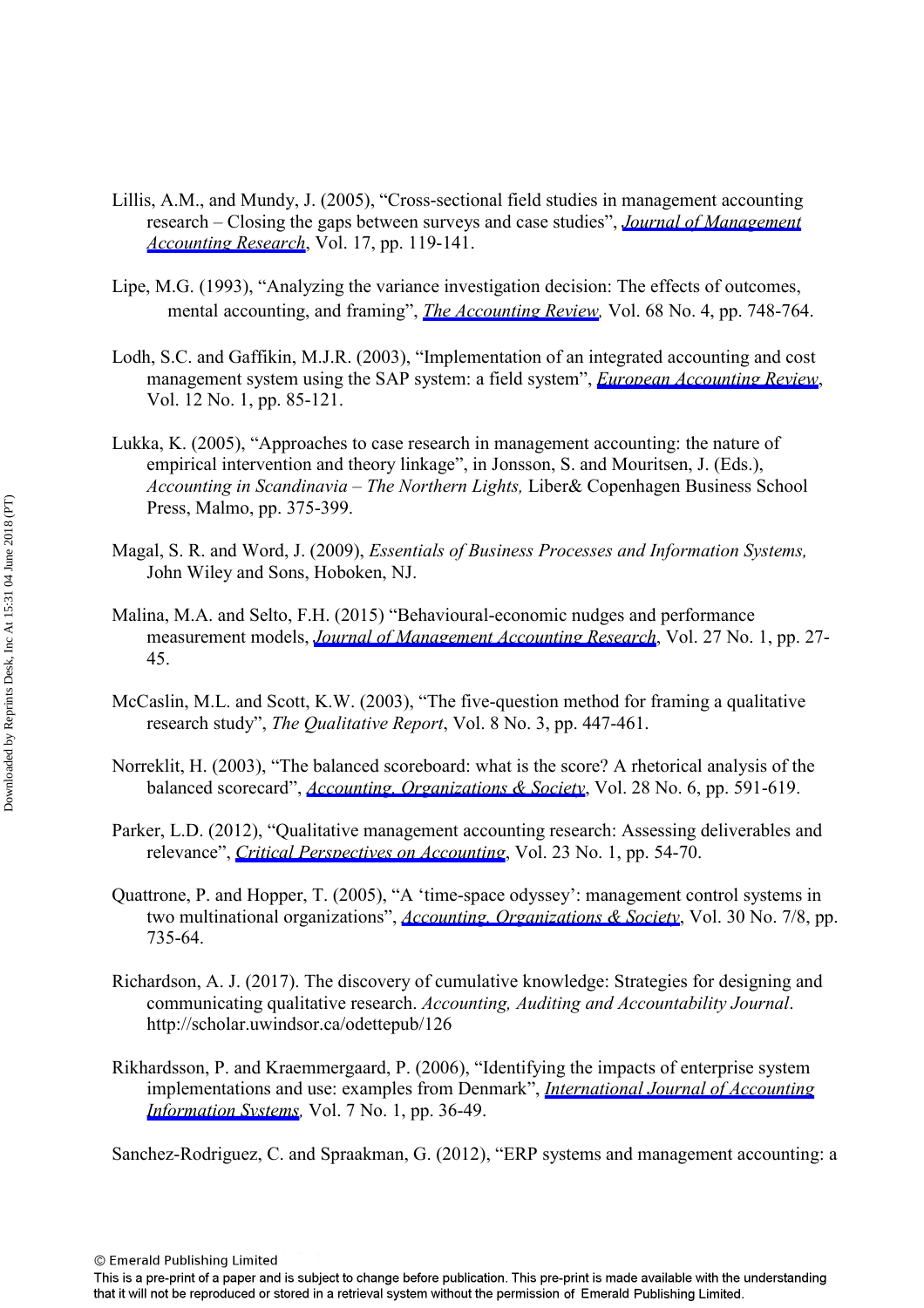- Lillis, A.M., and Mundy, J. (2005), "Cross-sectional field studies in management accounting research – Closing the gaps between surveys and case studies", *[Journal of Management](https://www.emeraldinsight.com/action/showLinks?doi=10.1108%2FJAOC-06-2016-0038&crossref=10.2308%2Fjmar.2005.17.1.119&citationId=p_12) [Accounting Research](https://www.emeraldinsight.com/action/showLinks?doi=10.1108%2FJAOC-06-2016-0038&crossref=10.2308%2Fjmar.2005.17.1.119&citationId=p_12)*, Vol. 17, pp. 119-141.
- Lipe, M.G. (1993), "Analyzing the variance investigation decision: The effects of outcomes, mental accounting, and framing", *[The Accounting Review,](https://www.emeraldinsight.com/action/showLinks?doi=10.1108%2FJAOC-06-2016-0038&isi=A1993MH02100003&citationId=p_13)* Vol. 68 No. 4, pp. 748-764.
- Lodh, S.C. and Gaffikin, M.J.R. (2003), "Implementation of an integrated accounting and cost management system using the SAP system: a field system", *[European Accounting Review](https://www.emeraldinsight.com/action/showLinks?doi=10.1108%2FJAOC-06-2016-0038&crossref=10.1080%2F0963818031000087899&citationId=p_14)*, Vol. 12 No. 1, pp. 85-121.
- Lukka, K. (2005), "Approaches to case research in management accounting: the nature of empirical intervention and theory linkage", in Jonsson, S. and Mouritsen, J. (Eds.), *Accounting in Scandinavia – The Northern Lights,* Liber& Copenhagen Business School Press, Malmo, pp. 375-399.
- Magal, S. R. and Word, J. (2009), *Essentials of Business Processes and Information Systems,* John Wiley and Sons, Hoboken, NJ.
- Malina, M.A. and Selto, F.H. (2015) "Behavioural-economic nudges and performance measurement models, *[Journal of Management Accounting Research](https://www.emeraldinsight.com/action/showLinks?doi=10.1108%2FJAOC-06-2016-0038&crossref=10.2308%2Fjmar-50821&isi=000374337300002&citationId=p_17)*, Vol. 27 No. 1, pp. 27- 45.
- McCaslin, M.L. and Scott, K.W. (2003), "The five-question method for framing a qualitative research study", *The Qualitative Report*, Vol. 8 No. 3, pp. 447-461.
- Norreklit, H. (2003), "The balanced scoreboard: what is the score? A rhetorical analysis of the balanced scorecard", *[Accounting, Organizations & Society](https://www.emeraldinsight.com/action/showLinks?doi=10.1108%2FJAOC-06-2016-0038&crossref=10.1016%2FS0361-3682%2802%2900097-1&isi=000184480500004&citationId=p_19)*, Vol. 28 No. 6, pp. 591-619.
- Parker, L.D. (2012), "Qualitative management accounting research: Assessing deliverables and relevance", *[Critical Perspectives on Accounting](https://www.emeraldinsight.com/action/showLinks?doi=10.1108%2FJAOC-06-2016-0038&crossref=10.1016%2Fj.cpa.2011.06.002&citationId=p_20)*, Vol. 23 No. 1, pp. 54-70.
- Quattrone, P. and Hopper, T. (2005), "A 'time-space odyssey': management control systems in two multinational organizations", *[Accounting, Organizations & Society](https://www.emeraldinsight.com/action/showLinks?doi=10.1108%2FJAOC-06-2016-0038&crossref=10.1016%2Fj.aos.2003.10.006&isi=000231833400008&citationId=p_21)*, Vol. 30 No. 7/8, pp. 735-64.
- Richardson, A. J. (2017). The discovery of cumulative knowledge: Strategies for designing and communicating qualitative research. *Accounting, Auditing and Accountability Journal*. http://scholar.uwindsor.ca/odettepub/126
- Rikhardsson, P. and Kraemmergaard, P. (2006), "Identifying the impacts of enterprise system implementations and use: examples from Denmark", *[International Journal of Accounting](https://www.emeraldinsight.com/action/showLinks?doi=10.1108%2FJAOC-06-2016-0038&crossref=10.1016%2Fj.accinf.2005.12.001&citationId=p_23) [Information Systems,](https://www.emeraldinsight.com/action/showLinks?doi=10.1108%2FJAOC-06-2016-0038&crossref=10.1016%2Fj.accinf.2005.12.001&citationId=p_23)* Vol. 7 No. 1, pp. 36-49.

Sanchez-Rodriguez, C. and Spraakman, G. (2012), "ERP systems and management accounting: a

This is a pre-print of a paper and is subject to change before publication. This pre-print is made available with the understanding that it will not be reproduced or stored in a retrieval system without the permission of Emerald Publishing Limited.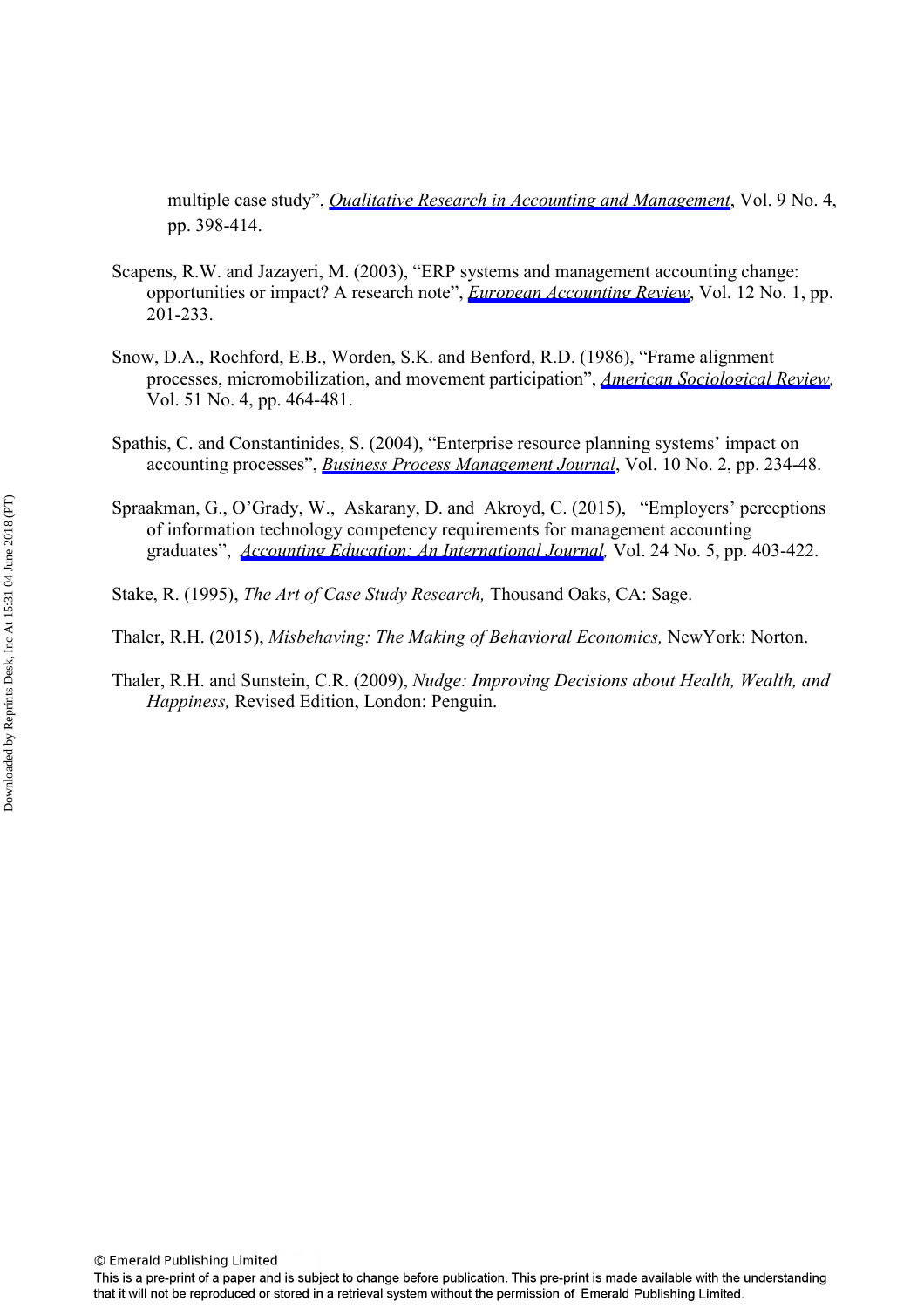multiple case study", *[Qualitative Research in Accounting and Management](https://www.emeraldinsight.com/action/showLinks?doi=10.1108%2FJAOC-06-2016-0038&system=10.1108%2F11766091211282689&citationId=p_24)*, Vol. 9 No. 4, pp. 398-414.

- Scapens, R.W. and Jazayeri, M. (2003), "ERP systems and management accounting change: opportunities or impact? A research note", *[European Accounting Review](https://www.emeraldinsight.com/action/showLinks?doi=10.1108%2FJAOC-06-2016-0038&crossref=10.1080%2F0963818031000087907&citationId=p_25)*, Vol. 12 No. 1, pp. 201-233.
- Snow, D.A., Rochford, E.B., Worden, S.K. and Benford, R.D. (1986), "Frame alignment processes, micromobilization, and movement participation", *[American Sociological Review](https://www.emeraldinsight.com/action/showLinks?doi=10.1108%2FJAOC-06-2016-0038&crossref=10.2307%2F2095581&isi=A1986D770100002&citationId=p_26),*  Vol. 51 No. 4, pp. 464-481.
- Spathis, C. and Constantinides, S. (2004), "Enterprise resource planning systems' impact on accounting processes", *[Business Process Management Journal](https://www.emeraldinsight.com/action/showLinks?doi=10.1108%2FJAOC-06-2016-0038&system=10.1108%2F14637150410530280&citationId=p_27)*, Vol. 10 No. 2, pp. 234-48.
- Spraakman, G., O'Grady, W., Askarany, D. and Akroyd, C. (2015), "Employers' perceptions of information technology competency requirements for management accounting graduates", *[Accounting Education: An International Journal,](https://www.emeraldinsight.com/action/showLinks?doi=10.1108%2FJAOC-06-2016-0038&crossref=10.1080%2F09639284.2015.1089177&isi=000364196300003&citationId=p_28)* Vol. 24 No. 5, pp. 403-422.
- Stake, R. (1995), *The Art of Case Study Research,* Thousand Oaks, CA: Sage.

Thaler, R.H. (2015), *Misbehaving: The Making of Behavioral Economics,* NewYork: Norton.

Thaler, R.H. and Sunstein, C.R. (2009), *Nudge: Improving Decisions about Health, Wealth, and Happiness,* Revised Edition, London: Penguin.

<sup>©</sup> Emerald Publishing Limited

This is a pre-print of a paper and is subject to change before publication. This pre-print is made available with the understanding that it will not be reproduced or stored in a retrieval system without the permission of Emerald Publishing Limited.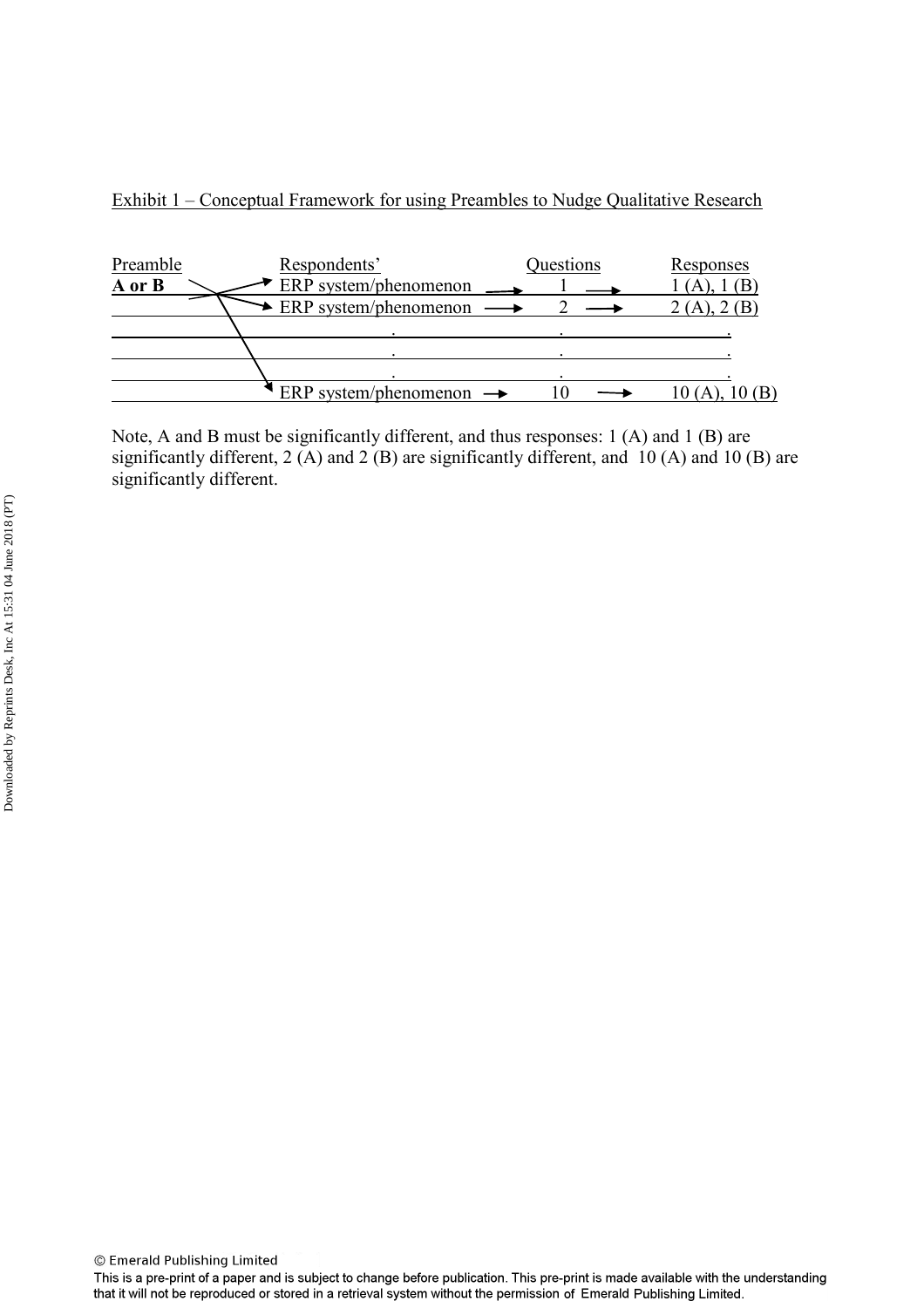



Note, A and B must be significantly different, and thus responses: 1 (A) and 1 (B) are significantly different,  $2(A)$  and  $2(B)$  are significantly different, and  $10(A)$  and  $10(B)$  are significantly different.

<sup>©</sup> Emerald Publishing Limited

This is a pre-print of a paper and is subject to change before publication. This pre-print is made available with the understanding that it will not be reproduced or stored in a retrieval system without the permission of Emerald Publishing Limited.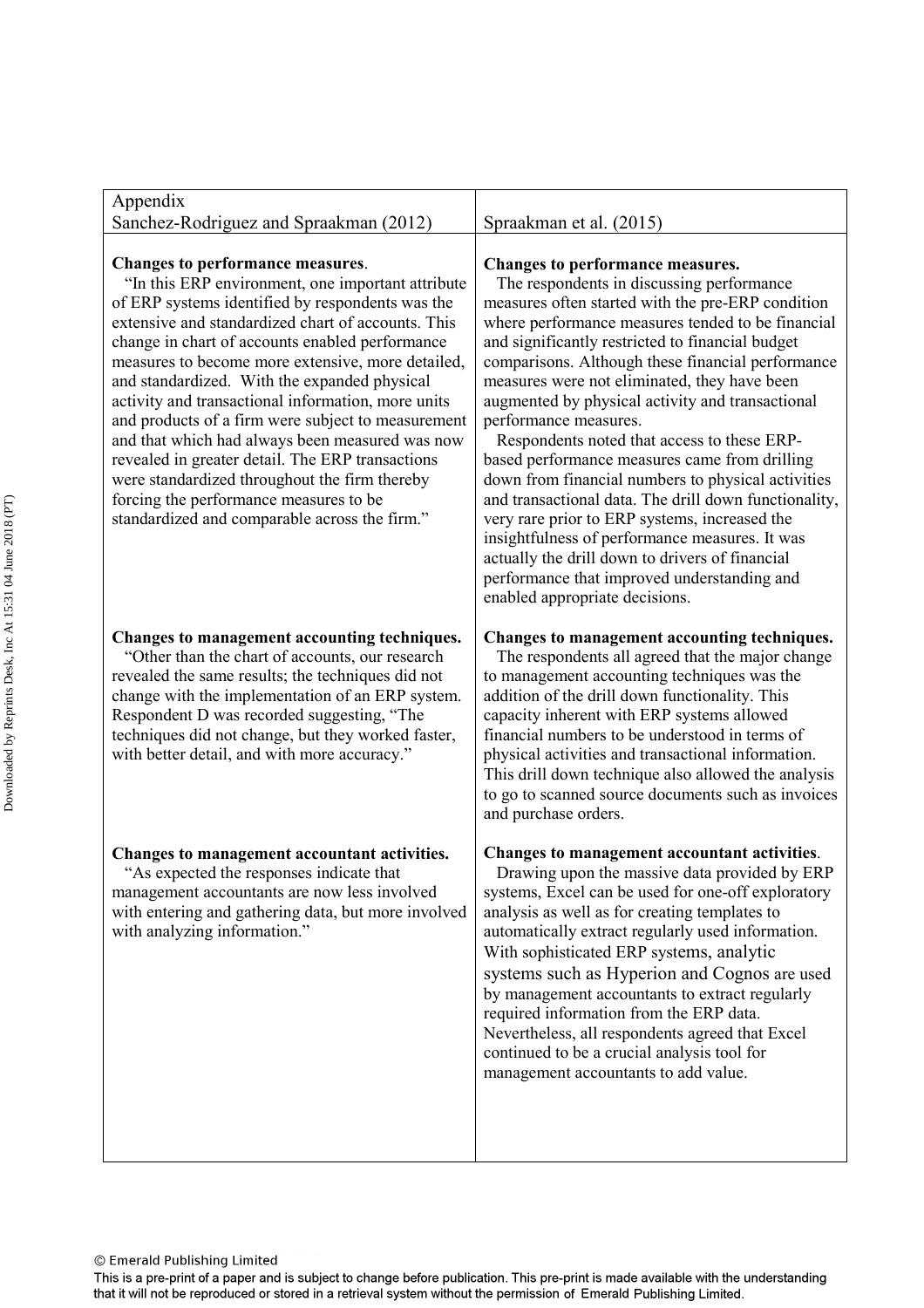| Spraakman et al. (2015)                                                                                                                                                                                                                                                                                                                                                                                                                                                                                                                                                                                                                                                                                                                                                                                                                                                             |
|-------------------------------------------------------------------------------------------------------------------------------------------------------------------------------------------------------------------------------------------------------------------------------------------------------------------------------------------------------------------------------------------------------------------------------------------------------------------------------------------------------------------------------------------------------------------------------------------------------------------------------------------------------------------------------------------------------------------------------------------------------------------------------------------------------------------------------------------------------------------------------------|
| Changes to performance measures.<br>The respondents in discussing performance<br>measures often started with the pre-ERP condition<br>where performance measures tended to be financial<br>and significantly restricted to financial budget<br>comparisons. Although these financial performance<br>measures were not eliminated, they have been<br>augmented by physical activity and transactional<br>performance measures.<br>Respondents noted that access to these ERP-<br>based performance measures came from drilling<br>down from financial numbers to physical activities<br>and transactional data. The drill down functionality,<br>very rare prior to ERP systems, increased the<br>insightfulness of performance measures. It was<br>actually the drill down to drivers of financial<br>performance that improved understanding and<br>enabled appropriate decisions. |
| Changes to management accounting techniques.<br>The respondents all agreed that the major change<br>to management accounting techniques was the<br>addition of the drill down functionality. This<br>capacity inherent with ERP systems allowed<br>financial numbers to be understood in terms of<br>physical activities and transactional information.<br>This drill down technique also allowed the analysis<br>to go to scanned source documents such as invoices<br>and purchase orders.                                                                                                                                                                                                                                                                                                                                                                                        |
| Changes to management accountant activities.<br>Drawing upon the massive data provided by ERP<br>systems, Excel can be used for one-off exploratory<br>analysis as well as for creating templates to<br>automatically extract regularly used information.<br>With sophisticated ERP systems, analytic<br>systems such as Hyperion and Cognos are used<br>by management accountants to extract regularly<br>required information from the ERP data.<br>Nevertheless, all respondents agreed that Excel<br>continued to be a crucial analysis tool for<br>management accountants to add value.                                                                                                                                                                                                                                                                                        |
|                                                                                                                                                                                                                                                                                                                                                                                                                                                                                                                                                                                                                                                                                                                                                                                                                                                                                     |

This is a pre-print of a paper and is subject to change before publication. This pre-print is made available with the understanding<br>that it will not be reproduced or stored in a retrieval system without the permission of E